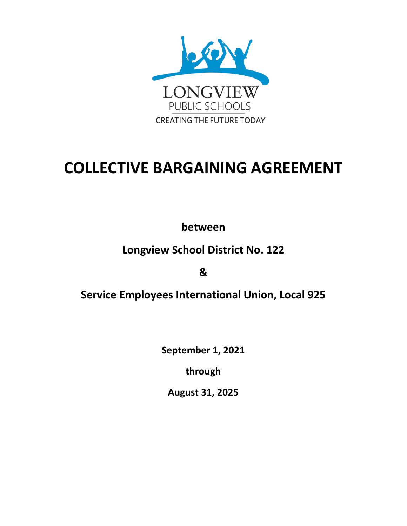

# **COLLECTIVE BARGAINING AGREEMENT**

**between**

## **Longview School District No. 122**

**&**

## **Service Employees International Union, Local 925**

**September 1, 2021**

**through**

**August 31, 2025**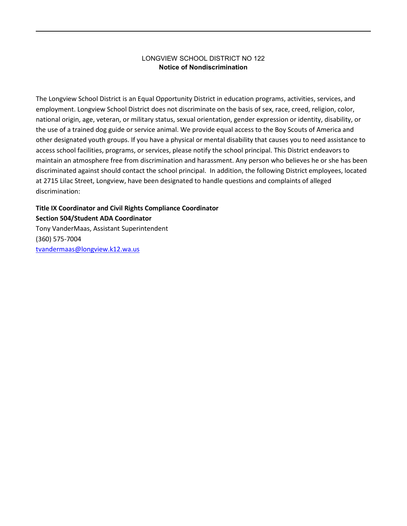#### LONGVIEW SCHOOL DISTRICT NO 122 **Notice of Nondiscrimination**

The Longview School District is an Equal Opportunity District in education programs, activities, services, and employment. Longview School District does not discriminate on the basis of sex, race, creed, religion, color, national origin, age, veteran, or military status, sexual orientation, gender expression or identity, disability, or the use of a trained dog guide or service animal. We provide equal access to the Boy Scouts of America and other designated youth groups. If you have a physical or mental disability that causes you to need assistance to access school facilities, programs, or services, please notify the school principal. This District endeavors to maintain an atmosphere free from discrimination and harassment. Any person who believes he or she has been discriminated against should contact the school principal. In addition, the following District employees, located at 2715 Lilac Street, Longview, have been designated to handle questions and complaints of alleged discrimination:

### **Title IX Coordinator and Civil Rights Compliance Coordinator Section 504/Student ADA Coordinator**

Tony VanderMaas, Assistant Superintendent (360) 575-7004 [tvandermaas@longview.k12.wa.us](mailto:tvandermaas@longview.k12.wa.us)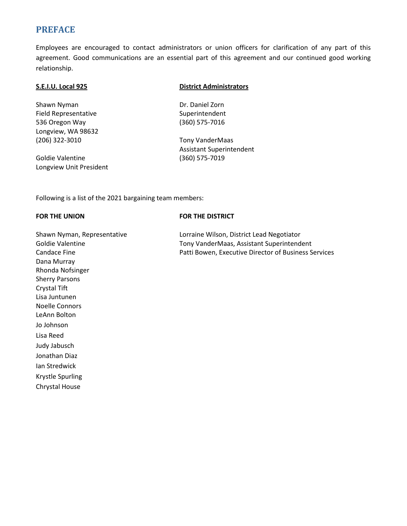### **PREFACE**

Employees are encouraged to contact administrators or union officers for clarification of any part of this agreement. Good communications are an essential part of this agreement and our continued good working relationship.

Shawn Nyman Dr. Daniel Zorn Field Representative Superintendent 536 Oregon Way (360) 575-7016 Longview, WA 98632 (206) 322-3010 Tony VanderMaas

Goldie Valentine (360) 575-7019 Longview Unit President

#### **S.E.I.U. Local 925 District Administrators**

Assistant Superintendent

Following is a list of the 2021 bargaining team members:

#### **FOR THE UNION FOR THE DISTRICT**

Candace Fine **Patti Bowen, Executive Director of Business Services** Patti Bowen, Executive Director of Business Services Dana Murray Rhonda Nofsinger Sherry Parsons Crystal Tift Lisa Juntunen Noelle Connors LeAnn Bolton Jo Johnson Lisa Reed Judy Jabusch Jonathan Diaz Ian Stredwick Krystle Spurling Chrystal House

Shawn Nyman, Representative Lorraine Wilson, District Lead Negotiator Goldie Valentine Tony VanderMaas, Assistant Superintendent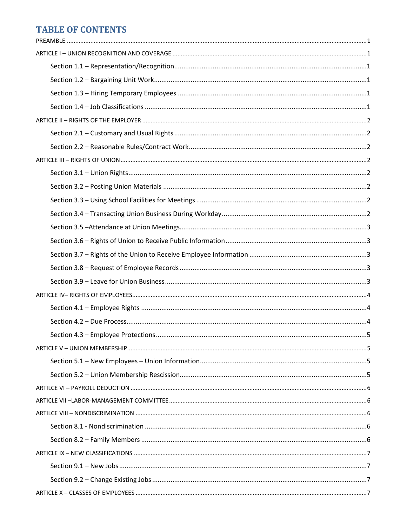## **TABLE OF CONTENTS**

|  | 5 |
|--|---|
|  |   |
|  |   |
|  |   |
|  |   |
|  |   |
|  |   |
|  |   |
|  |   |
|  |   |
|  |   |
|  |   |
|  |   |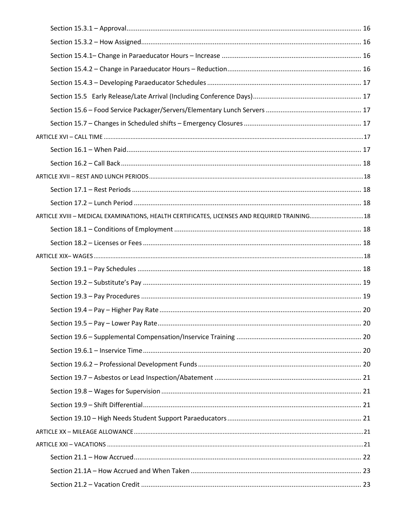| ARTICLE XVIII - MEDICAL EXAMINATIONS, HEALTH CERTIFICATES, LICENSES AND REQUIRED TRAINING 18 |  |
|----------------------------------------------------------------------------------------------|--|
|                                                                                              |  |
|                                                                                              |  |
|                                                                                              |  |
|                                                                                              |  |
|                                                                                              |  |
|                                                                                              |  |
|                                                                                              |  |
|                                                                                              |  |
|                                                                                              |  |
|                                                                                              |  |
|                                                                                              |  |
|                                                                                              |  |
|                                                                                              |  |
|                                                                                              |  |
|                                                                                              |  |
|                                                                                              |  |
|                                                                                              |  |
|                                                                                              |  |
|                                                                                              |  |
|                                                                                              |  |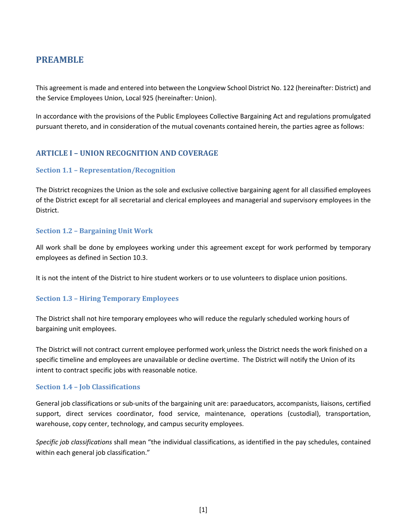### <span id="page-9-0"></span>**PREAMBLE**

This agreement is made and entered into between the Longview School District No. 122 (hereinafter: District) and the Service Employees Union, Local 925 (hereinafter: Union).

In accordance with the provisions of the Public Employees Collective Bargaining Act and regulations promulgated pursuant thereto, and in consideration of the mutual covenants contained herein, the parties agree as follows:

### <span id="page-9-1"></span>**ARTICLE I – UNION RECOGNITION AND COVERAGE**

#### <span id="page-9-2"></span>**Section 1.1 – Representation/Recognition**

The District recognizes the Union as the sole and exclusive collective bargaining agent for all classified employees of the District except for all secretarial and clerical employees and managerial and supervisory employees in the District.

#### <span id="page-9-3"></span>**Section 1.2 – Bargaining Unit Work**

All work shall be done by employees working under this agreement except for work performed by temporary employees as defined in Section 10.3.

It is not the intent of the District to hire student workers or to use volunteers to displace union positions.

#### <span id="page-9-4"></span>**Section 1.3 – Hiring Temporary Employees**

The District shall not hire temporary employees who will reduce the regularly scheduled working hours of bargaining unit employees.

The District will not contract current employee performed work unless the District needs the work finished on a specific timeline and employees are unavailable or decline overtime. The District will notify the Union of its intent to contract specific jobs with reasonable notice.

#### <span id="page-9-5"></span>**Section 1.4 – Job Classifications**

General job classifications or sub-units of the bargaining unit are: paraeducators, accompanists, liaisons, certified support, direct services coordinator, food service, maintenance, operations (custodial), transportation, warehouse, copy center, technology, and campus security employees.

*Specific job classifications* shall mean "the individual classifications, as identified in the pay schedules, contained within each general job classification."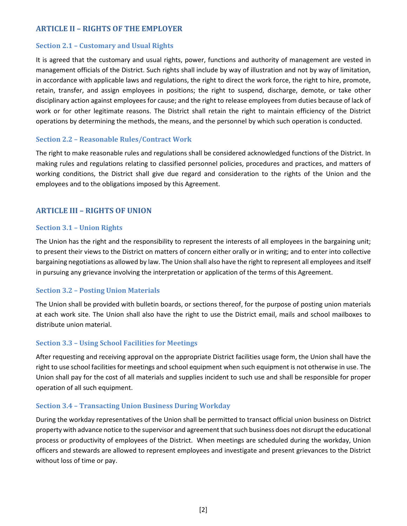### <span id="page-10-0"></span>**ARTICLE II – RIGHTS OF THE EMPLOYER**

#### <span id="page-10-1"></span>**Section 2.1 – Customary and Usual Rights**

It is agreed that the customary and usual rights, power, functions and authority of management are vested in management officials of the District. Such rights shall include by way of illustration and not by way of limitation, in accordance with applicable laws and regulations, the right to direct the work force, the right to hire, promote, retain, transfer, and assign employees in positions; the right to suspend, discharge, demote, or take other disciplinary action against employees for cause; and the right to release employees from duties because of lack of work or for other legitimate reasons. The District shall retain the right to maintain efficiency of the District operations by determining the methods, the means, and the personnel by which such operation is conducted.

#### <span id="page-10-2"></span>**Section 2.2 – Reasonable Rules/Contract Work**

The right to make reasonable rules and regulations shall be considered acknowledged functions of the District. In making rules and regulations relating to classified personnel policies, procedures and practices, and matters of working conditions, the District shall give due regard and consideration to the rights of the Union and the employees and to the obligations imposed by this Agreement.

### <span id="page-10-3"></span>**ARTICLE III – RIGHTS OF UNION**

#### <span id="page-10-4"></span>**Section 3.1 – Union Rights**

The Union has the right and the responsibility to represent the interests of all employees in the bargaining unit; to present their views to the District on matters of concern either orally or in writing; and to enter into collective bargaining negotiations as allowed by law. The Union shall also have the right to represent all employees and itself in pursuing any grievance involving the interpretation or application of the terms of this Agreement.

#### <span id="page-10-5"></span>**Section 3.2 – Posting Union Materials**

The Union shall be provided with bulletin boards, or sections thereof, for the purpose of posting union materials at each work site. The Union shall also have the right to use the District email, mails and school mailboxes to distribute union material.

#### <span id="page-10-6"></span>**Section 3.3 – Using School Facilities for Meetings**

After requesting and receiving approval on the appropriate District facilities usage form, the Union shall have the right to use school facilities for meetings and school equipment when such equipment is not otherwise in use. The Union shall pay for the cost of all materials and supplies incident to such use and shall be responsible for proper operation of all such equipment.

#### <span id="page-10-7"></span>**Section 3.4 – Transacting Union Business During Workday**

During the workday representatives of the Union shall be permitted to transact official union business on District property with advance notice to the supervisor and agreement that such business does not disrupt the educational process or productivity of employees of the District. When meetings are scheduled during the workday, Union officers and stewards are allowed to represent employees and investigate and present grievances to the District without loss of time or pay.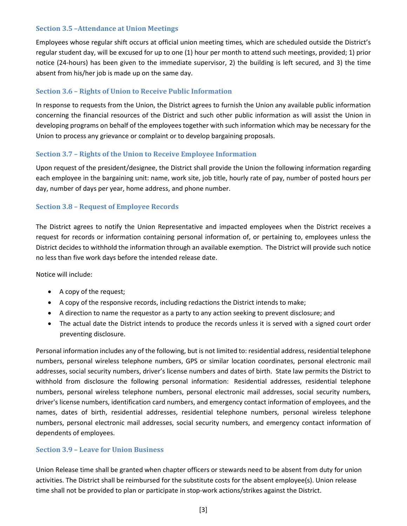#### <span id="page-11-0"></span>**Section 3.5 –Attendance at Union Meetings**

Employees whose regular shift occurs at official union meeting times*,* which are scheduled outside the District's regular student day, will be excused for up to one (1) hour per month to attend such meetings, provided; 1) prior notice (24-hours) has been given to the immediate supervisor, 2) the building is left secured, and 3) the time absent from his/her job is made up on the same day.

### <span id="page-11-1"></span>**Section 3.6 – Rights of Union to Receive Public Information**

In response to requests from the Union, the District agrees to furnish the Union any available public information concerning the financial resources of the District and such other public information as will assist the Union in developing programs on behalf of the employees together with such information which may be necessary for the Union to process any grievance or complaint or to develop bargaining proposals.

#### <span id="page-11-2"></span>**Section 3.7 – Rights of the Union to Receive Employee Information**

Upon request of the president/designee, the District shall provide the Union the following information regarding each employee in the bargaining unit: name, work site, job title, hourly rate of pay, number of posted hours per day, number of days per year, home address, and phone number.

#### <span id="page-11-3"></span>**Section 3.8 – Request of Employee Records**

The District agrees to notify the Union Representative and impacted employees when the District receives a request for records or information containing personal information of, or pertaining to, employees unless the District decides to withhold the information through an available exemption. The District will provide such notice no less than five work days before the intended release date.

Notice will include:

- A copy of the request;
- A copy of the responsive records, including redactions the District intends to make;
- A direction to name the requestor as a party to any action seeking to prevent disclosure; and
- The actual date the District intends to produce the records unless it is served with a signed court order preventing disclosure.

Personal information includes any of the following, but is not limited to: residential address, residential telephone numbers, personal wireless telephone numbers, GPS or similar location coordinates, personal electronic mail addresses, social security numbers, driver's license numbers and dates of birth. State law permits the District to withhold from disclosure the following personal information: Residential addresses, residential telephone numbers, personal wireless telephone numbers, personal electronic mail addresses, social security numbers, driver's license numbers, identification card numbers, and emergency contact information of employees, and the names, dates of birth, residential addresses, residential telephone numbers, personal wireless telephone numbers, personal electronic mail addresses, social security numbers, and emergency contact information of dependents of employees.

#### <span id="page-11-4"></span>**Section 3.9 – Leave for Union Business**

Union Release time shall be granted when chapter officers or stewards need to be absent from duty for union activities. The District shall be reimbursed for the substitute costs for the absent employee(s). Union release time shall not be provided to plan or participate in stop-work actions/strikes against the District.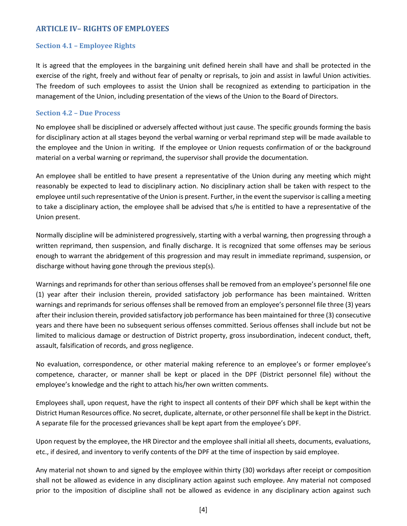### <span id="page-12-0"></span>**ARTICLE IV– RIGHTS OF EMPLOYEES**

#### <span id="page-12-1"></span>**Section 4.1 – Employee Rights**

It is agreed that the employees in the bargaining unit defined herein shall have and shall be protected in the exercise of the right, freely and without fear of penalty or reprisals, to join and assist in lawful Union activities. The freedom of such employees to assist the Union shall be recognized as extending to participation in the management of the Union, including presentation of the views of the Union to the Board of Directors.

#### <span id="page-12-2"></span>**Section 4.2 – Due Process**

No employee shall be disciplined or adversely affected without just cause. The specific grounds forming the basis for disciplinary action at all stages beyond the verbal warning or verbal reprimand step will be made available to the employee and the Union in writing. If the employee or Union requests confirmation of or the background material on a verbal warning or reprimand, the supervisor shall provide the documentation.

An employee shall be entitled to have present a representative of the Union during any meeting which might reasonably be expected to lead to disciplinary action. No disciplinary action shall be taken with respect to the employee until such representative of the Union is present. Further, in the event the supervisoris calling a meeting to take a disciplinary action, the employee shall be advised that s/he is entitled to have a representative of the Union present.

Normally discipline will be administered progressively, starting with a verbal warning, then progressing through a written reprimand, then suspension, and finally discharge. It is recognized that some offenses may be serious enough to warrant the abridgement of this progression and may result in immediate reprimand, suspension, or discharge without having gone through the previous step(s).

Warnings and reprimands for other than serious offenses shall be removed from an employee's personnel file one (1) year after their inclusion therein, provided satisfactory job performance has been maintained. Written warnings and reprimands for serious offenses shall be removed from an employee's personnel file three (3) years after their inclusion therein, provided satisfactory job performance has been maintained for three (3) consecutive years and there have been no subsequent serious offenses committed. Serious offenses shall include but not be limited to malicious damage or destruction of District property, gross insubordination, indecent conduct, theft, assault, falsification of records, and gross negligence.

No evaluation, correspondence, or other material making reference to an employee's or former employee's competence, character, or manner shall be kept or placed in the DPF (District personnel file) without the employee's knowledge and the right to attach his/her own written comments.

Employees shall, upon request, have the right to inspect all contents of their DPF which shall be kept within the District Human Resources office. No secret, duplicate, alternate, or other personnel file shall be kept in the District. A separate file for the processed grievances shall be kept apart from the employee's DPF.

Upon request by the employee, the HR Director and the employee shall initial all sheets, documents, evaluations, etc., if desired, and inventory to verify contents of the DPF at the time of inspection by said employee.

Any material not shown to and signed by the employee within thirty (30) workdays after receipt or composition shall not be allowed as evidence in any disciplinary action against such employee. Any material not composed prior to the imposition of discipline shall not be allowed as evidence in any disciplinary action against such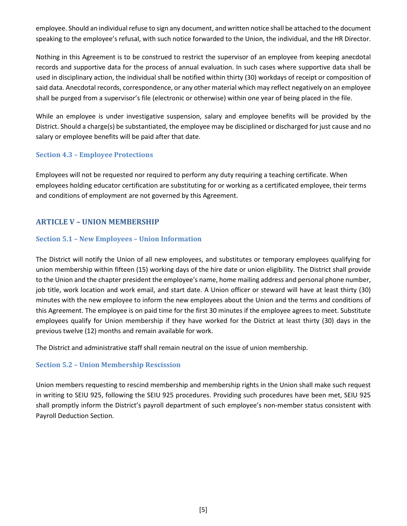employee. Should an individual refuse to sign any document, and written notice shall be attached to the document speaking to the employee's refusal, with such notice forwarded to the Union, the individual, and the HR Director.

Nothing in this Agreement is to be construed to restrict the supervisor of an employee from keeping anecdotal records and supportive data for the process of annual evaluation. In such cases where supportive data shall be used in disciplinary action, the individual shall be notified within thirty (30) workdays of receipt or composition of said data. Anecdotal records, correspondence, or any other material which may reflect negatively on an employee shall be purged from a supervisor's file (electronic or otherwise) within one year of being placed in the file.

While an employee is under investigative suspension, salary and employee benefits will be provided by the District. Should a charge(s) be substantiated, the employee may be disciplined or discharged for just cause and no salary or employee benefits will be paid after that date.

#### <span id="page-13-0"></span>**Section 4.3 – Employee Protections**

Employees will not be requested nor required to perform any duty requiring a teaching certificate. When employees holding educator certification are substituting for or working as a certificated employee, their terms and conditions of employment are not governed by this Agreement.

### <span id="page-13-1"></span>**ARTICLE V – UNION MEMBERSHIP**

#### <span id="page-13-2"></span>**Section 5.1 – New Employees – Union Information**

The District will notify the Union of all new employees, and substitutes or temporary employees qualifying for union membership within fifteen (15) working days of the hire date or union eligibility. The District shall provide to the Union and the chapter president the employee's name, home mailing address and personal phone number, job title, work location and work email, and start date. A Union officer or steward will have at least thirty (30) minutes with the new employee to inform the new employees about the Union and the terms and conditions of this Agreement. The employee is on paid time for the first 30 minutes if the employee agrees to meet. Substitute employees qualify for Union membership if they have worked for the District at least thirty (30) days in the previous twelve (12) months and remain available for work.

The District and administrative staff shall remain neutral on the issue of union membership.

#### <span id="page-13-3"></span>**Section 5.2 – Union Membership Rescission**

Union members requesting to rescind membership and membership rights in the Union shall make such request in writing to SEIU 925, following the SEIU 925 procedures. Providing such procedures have been met, SEIU 925 shall promptly inform the District's payroll department of such employee's non-member status consistent with Payroll Deduction Section.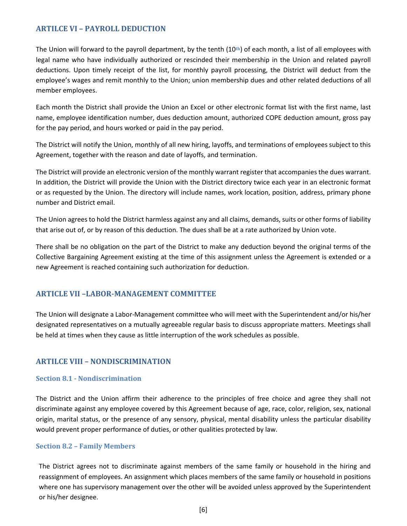### <span id="page-14-0"></span>**ARTILCE VI – PAYROLL DEDUCTION**

The Union will forward to the payroll department, by the tenth (10**th**) of each month, a list of all employees with legal name who have individually authorized or rescinded their membership in the Union and related payroll deductions. Upon timely receipt of the list, for monthly payroll processing, the District will deduct from the employee's wages and remit monthly to the Union; union membership dues and other related deductions of all member employees.

Each month the District shall provide the Union an Excel or other electronic format list with the first name, last name, employee identification number, dues deduction amount, authorized COPE deduction amount, gross pay for the pay period, and hours worked or paid in the pay period.

The District will notify the Union, monthly of all new hiring, layoffs, and terminations of employees subject to this Agreement, together with the reason and date of layoffs, and termination.

The District will provide an electronic version of the monthly warrant register that accompanies the dues warrant. In addition, the District will provide the Union with the District directory twice each year in an electronic format or as requested by the Union. The directory will include names, work location, position, address, primary phone number and District email.

The Union agrees to hold the District harmless against any and all claims, demands, suits or other forms of liability that arise out of, or by reason of this deduction. The dues shall be at a rate authorized by Union vote.

There shall be no obligation on the part of the District to make any deduction beyond the original terms of the Collective Bargaining Agreement existing at the time of this assignment unless the Agreement is extended or a new Agreement is reached containing such authorization for deduction.

#### <span id="page-14-1"></span>**ARTICLE VII –LABOR-MANAGEMENT COMMITTEE**

The Union will designate a Labor-Management committee who will meet with the Superintendent and/or his/her designated representatives on a mutually agreeable regular basis to discuss appropriate matters. Meetings shall be held at times when they cause as little interruption of the work schedules as possible.

#### <span id="page-14-2"></span>**ARTILCE VIII – NONDISCRIMINATION**

#### <span id="page-14-3"></span>**Section 8.1 - Nondiscrimination**

The District and the Union affirm their adherence to the principles of free choice and agree they shall not discriminate against any employee covered by this Agreement because of age, race, color, religion, sex, national origin, marital status, or the presence of any sensory, physical, mental disability unless the particular disability would prevent proper performance of duties, or other qualities protected by law.

#### <span id="page-14-4"></span>**Section 8.2 – Family Members**

The District agrees not to discriminate against members of the same family or household in the hiring and reassignment of employees. An assignment which places members of the same family or household in positions where one has supervisory management over the other will be avoided unless approved by the Superintendent or his/her designee.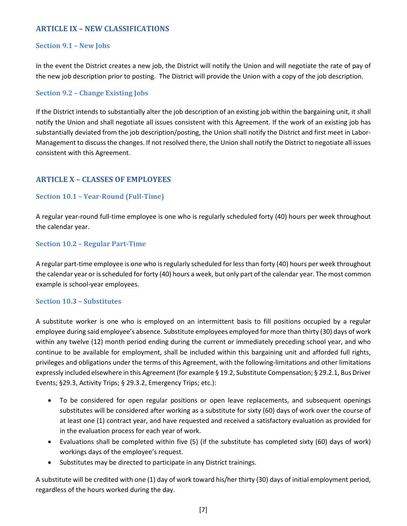### <span id="page-15-0"></span>**ARTICLE IX – NEW CLASSIFICATIONS**

#### <span id="page-15-1"></span>**Section 9.1 – New Jobs**

In the event the District creates a new job, the District will notify the Union and will negotiate the rate of pay of the new job description prior to posting. The District will provide the Union with a copy of the job description.

#### <span id="page-15-2"></span>**Section 9.2 – Change Existing Jobs**

If the District intends to substantially alter the job description of an existing job within the bargaining unit, it shall notify the Union and shall negotiate all issues consistent with this Agreement. If the work of an existing job has substantially deviated from the job description/posting, the Union shall notify the District and first meet in Labor-Management to discuss the changes. If not resolved there, the Union shall notify the District to negotiate all issues consistent with this Agreement.

### <span id="page-15-3"></span>**ARTICLE X – CLASSES OF EMPLOYEES**

#### <span id="page-15-4"></span>**Section 10.1 – Year-Round (Full-Time)**

A regular year-round full-time employee is one who is regularly scheduled forty (40) hours per week throughout the calendar year.

#### <span id="page-15-5"></span>**Section 10.2 – Regular Part-Time**

A regular part-time employee is one who is regularly scheduled for less than forty (40) hours per week throughout the calendar year or is scheduled for forty (40) hours a week, but only part of the calendar year. The most common example is school-year employees.

#### <span id="page-15-6"></span>**Section 10.3 – Substitutes**

A substitute worker is one who is employed on an intermittent basis to fill positions occupied by a regular employee during said employee's absence. Substitute employees employed for more than thirty (30) days of work within any twelve (12) month period ending during the current or immediately preceding school year, and who continue to be available for employment, shall be included within this bargaining unit and afforded full rights, privileges and obligations under the terms of this Agreement, with the following-limitations and other limitations expressly included elsewhere in this Agreement (for example § 19.2, Substitute Compensation; § 29.2.1, Bus Driver Events; §29.3, Activity Trips; § 29.3.2, Emergency Trips; etc.):

- To be considered for open regular positions or open leave replacements, and subsequent openings substitutes will be considered after working as a substitute for sixty (60) days of work over the course of at least one (1) contract year, and have requested and received a satisfactory evaluation as provided for in the evaluation process for each year of work.
- Evaluations shall be completed within five (5) (if the substitute has completed sixty (60) days of work) workings days of the employee's request.
- Substitutes may be directed to participate in any District trainings.

A substitute will be credited with one (1) day of work toward his/her thirty (30) days of initial employment period, regardless of the hours worked during the day.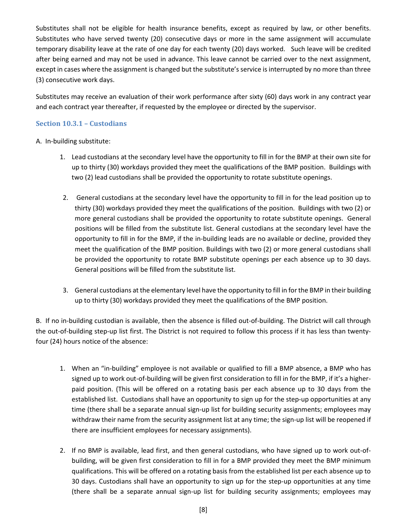Substitutes shall not be eligible for health insurance benefits, except as required by law, or other benefits. Substitutes who have served twenty (20) consecutive days or more in the same assignment will accumulate temporary disability leave at the rate of one day for each twenty (20) days worked. Such leave will be credited after being earned and may not be used in advance. This leave cannot be carried over to the next assignment, except in cases where the assignment is changed but the substitute's service is interrupted by no more than three (3) consecutive work days.

Substitutes may receive an evaluation of their work performance after sixty (60) days work in any contract year and each contract year thereafter, if requested by the employee or directed by the supervisor.

#### <span id="page-16-0"></span>**Section 10.3.1 – Custodians**

#### A. In-building substitute:

- 1. Lead custodians at the secondary level have the opportunity to fill in for the BMP at their own site for up to thirty (30) workdays provided they meet the qualifications of the BMP position. Buildings with two (2) lead custodians shall be provided the opportunity to rotate substitute openings.
- 2. General custodians at the secondary level have the opportunity to fill in for the lead position up to thirty (30) workdays provided they meet the qualifications of the position. Buildings with two (2) or more general custodians shall be provided the opportunity to rotate substitute openings. General positions will be filled from the substitute list. General custodians at the secondary level have the opportunity to fill in for the BMP, if the in-building leads are no available or decline, provided they meet the qualification of the BMP position. Buildings with two (2) or more general custodians shall be provided the opportunity to rotate BMP substitute openings per each absence up to 30 days. General positions will be filled from the substitute list.
- 3. General custodians at the elementary level have the opportunity to fill in for the BMP in their building up to thirty (30) workdays provided they meet the qualifications of the BMP position.

B. If no in-building custodian is available, then the absence is filled out-of-building. The District will call through the out-of-building step-up list first. The District is not required to follow this process if it has less than twentyfour (24) hours notice of the absence:

- 1. When an "in-building" employee is not available or qualified to fill a BMP absence, a BMP who has signed up to work out-of-building will be given first consideration to fill in for the BMP, if it's a higherpaid position. (This will be offered on a rotating basis per each absence up to 30 days from the established list. Custodians shall have an opportunity to sign up for the step-up opportunities at any time (there shall be a separate annual sign-up list for building security assignments; employees may withdraw their name from the security assignment list at any time; the sign-up list will be reopened if there are insufficient employees for necessary assignments).
- 2. If no BMP is available, lead first, and then general custodians, who have signed up to work out-ofbuilding, will be given first consideration to fill in for a BMP provided they meet the BMP minimum qualifications. This will be offered on a rotating basis from the established list per each absence up to 30 days. Custodians shall have an opportunity to sign up for the step-up opportunities at any time (there shall be a separate annual sign-up list for building security assignments; employees may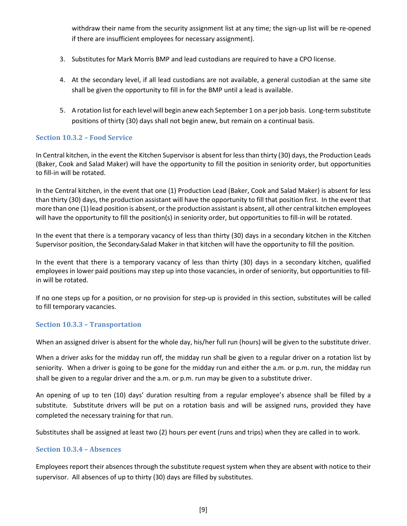withdraw their name from the security assignment list at any time; the sign-up list will be re-opened if there are insufficient employees for necessary assignment).

- 3. Substitutes for Mark Morris BMP and lead custodians are required to have a CPO license.
- 4. At the secondary level, if all lead custodians are not available, a general custodian at the same site shall be given the opportunity to fill in for the BMP until a lead is available.
- 5. A rotation list for each level will begin anew each September 1 on a per job basis. Long-term substitute positions of thirty (30) days shall not begin anew, but remain on a continual basis.

#### <span id="page-17-0"></span>**Section 10.3.2 – Food Service**

In Central kitchen, in the event the Kitchen Supervisor is absent for less than thirty (30) days, the Production Leads (Baker, Cook and Salad Maker) will have the opportunity to fill the position in seniority order, but opportunities to fill-in will be rotated.

In the Central kitchen, in the event that one (1) Production Lead (Baker, Cook and Salad Maker) is absent for less than thirty (30) days, the production assistant will have the opportunity to fill that position first. In the event that more than one (1) lead position is absent, or the production assistant is absent, all other central kitchen employees will have the opportunity to fill the position(s) in seniority order, but opportunities to fill-in will be rotated.

In the event that there is a temporary vacancy of less than thirty (30) days in a secondary kitchen in the Kitchen Supervisor position, the Secondary Salad Maker in that kitchen will have the opportunity to fill the position.

In the event that there is a temporary vacancy of less than thirty (30) days in a secondary kitchen, qualified employees in lower paid positions may step up into those vacancies, in order of seniority, but opportunities to fillin will be rotated.

If no one steps up for a position, or no provision for step-up is provided in this section, substitutes will be called to fill temporary vacancies.

#### <span id="page-17-1"></span>**Section 10.3.3 – Transportation**

When an assigned driver is absent for the whole day, his/her full run (hours) will be given to the substitute driver.

When a driver asks for the midday run off, the midday run shall be given to a regular driver on a rotation list by seniority. When a driver is going to be gone for the midday run and either the a.m. or p.m. run, the midday run shall be given to a regular driver and the a.m. or p.m. run may be given to a substitute driver.

An opening of up to ten (10) days' duration resulting from a regular employee's absence shall be filled by a substitute. Substitute drivers will be put on a rotation basis and will be assigned runs, provided they have completed the necessary training for that run.

Substitutes shall be assigned at least two (2) hours per event (runs and trips) when they are called in to work.

#### <span id="page-17-2"></span>**Section 10.3.4 – Absences**

Employees report their absences through the substitute request system when they are absent with notice to their supervisor. All absences of up to thirty (30) days are filled by substitutes.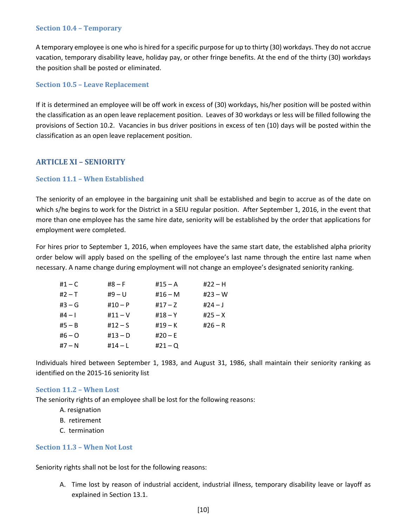#### <span id="page-18-0"></span>**Section 10.4 – Temporary**

A temporary employee is one who is hired for a specific purpose for up to thirty (30) workdays. They do not accrue vacation, temporary disability leave, holiday pay, or other fringe benefits. At the end of the thirty (30) workdays the position shall be posted or eliminated.

#### <span id="page-18-1"></span>**Section 10.5 – Leave Replacement**

If it is determined an employee will be off work in excess of (30) workdays, his/her position will be posted within the classification as an open leave replacement position. Leaves of 30 workdays or less will be filled following the provisions of Section 10.2. Vacancies in bus driver positions in excess of ten (10) days will be posted within the classification as an open leave replacement position.

#### <span id="page-18-2"></span>**ARTICLE XI – SENIORITY**

#### <span id="page-18-3"></span>**Section 11.1 – When Established**

The seniority of an employee in the bargaining unit shall be established and begin to accrue as of the date on which s/he begins to work for the District in a SEIU regular position. After September 1, 2016, in the event that more than one employee has the same hire date, seniority will be established by the order that applications for employment were completed.

For hires prior to September 1, 2016, when employees have the same start date, the established alpha priority order below will apply based on the spelling of the employee's last name through the entire last name when necessary. A name change during employment will not change an employee's designated seniority ranking.

| #1 – C | $#8 - F$  | $#15 - A$ | #22 – H   |
|--------|-----------|-----------|-----------|
| #2 – T | $#9 - U$  | $#16 - M$ | $#23 - W$ |
| #3 – G | $#10 - P$ | #17 – Z   | $#24 - J$ |
| #4 – I | #11 – $V$ | #18 – Y   | $#25 - X$ |
| #5 – B | #12 – S   | #19 – K   | $#26 - R$ |
| #6 – O | #13 – D   | $#20 - E$ |           |
| #7 – N | #14 – L   | $#21 - Q$ |           |

Individuals hired between September 1, 1983, and August 31, 1986, shall maintain their seniority ranking as identified on the 2015-16 seniority list

#### <span id="page-18-4"></span>**Section 11.2 – When Lost**

The seniority rights of an employee shall be lost for the following reasons:

- A. resignation
- B. retirement
- C. termination

#### <span id="page-18-5"></span>**Section 11.3 – When Not Lost**

Seniority rights shall not be lost for the following reasons:

A. Time lost by reason of industrial accident, industrial illness, temporary disability leave or layoff as explained in Section 13.1.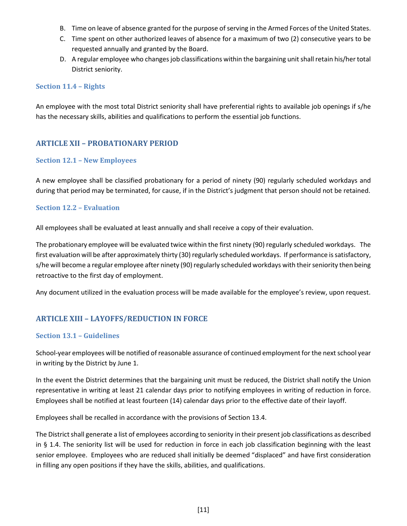- B. Time on leave of absence granted for the purpose of serving in the Armed Forces of the United States.
- C. Time spent on other authorized leaves of absence for a maximum of two (2) consecutive years to be requested annually and granted by the Board.
- D. A regular employee who changes job classifications within the bargaining unit shall retain his/her total District seniority.

#### <span id="page-19-0"></span>**Section 11.4 – Rights**

An employee with the most total District seniority shall have preferential rights to available job openings if s/he has the necessary skills, abilities and qualifications to perform the essential job functions.

### <span id="page-19-1"></span>**ARTICLE XII – PROBATIONARY PERIOD**

#### <span id="page-19-2"></span>**Section 12.1 – New Employees**

A new employee shall be classified probationary for a period of ninety (90) regularly scheduled workdays and during that period may be terminated, for cause, if in the District's judgment that person should not be retained.

#### <span id="page-19-3"></span>**Section 12.2 – Evaluation**

All employees shall be evaluated at least annually and shall receive a copy of their evaluation.

The probationary employee will be evaluated twice within the first ninety (90) regularly scheduled workdays. The first evaluation will be after approximately thirty (30) regularly scheduled workdays. If performance is satisfactory, s/he will become a regular employee after ninety (90) regularly scheduled workdays with their seniority then being retroactive to the first day of employment.

Any document utilized in the evaluation process will be made available for the employee's review, upon request.

### <span id="page-19-4"></span>**ARTICLE XIII – LAYOFFS/REDUCTION IN FORCE**

#### <span id="page-19-5"></span>**Section 13.1 – Guidelines**

School-year employees will be notified of reasonable assurance of continued employment for the next school year in writing by the District by June 1.

In the event the District determines that the bargaining unit must be reduced, the District shall notify the Union representative in writing at least 21 calendar days prior to notifying employees in writing of reduction in force. Employees shall be notified at least fourteen (14) calendar days prior to the effective date of their layoff.

Employees shall be recalled in accordance with the provisions of Section 13.4.

The District shall generate a list of employees according to seniority in their present job classifications as described in § 1.4. The seniority list will be used for reduction in force in each job classification beginning with the least senior employee. Employees who are reduced shall initially be deemed "displaced" and have first consideration in filling any open positions if they have the skills, abilities, and qualifications.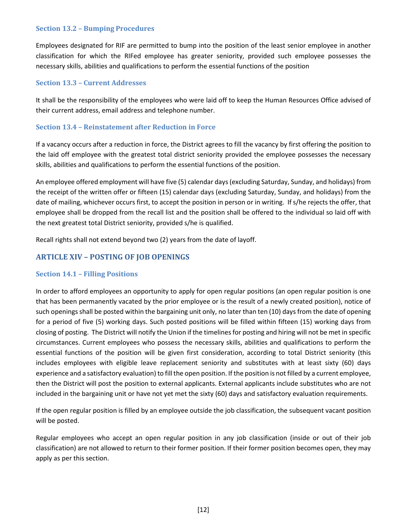#### <span id="page-20-0"></span>**Section 13.2 – Bumping Procedures**

Employees designated for RIF are permitted to bump into the position of the least senior employee in another classification for which the RIFed employee has greater seniority, provided such employee possesses the necessary skills, abilities and qualifications to perform the essential functions of the position

#### <span id="page-20-1"></span>**Section 13.3 – Current Addresses**

It shall be the responsibility of the employees who were laid off to keep the Human Resources Office advised of their current address, email address and telephone number.

#### <span id="page-20-2"></span>**Section 13.4 – Reinstatement after Reduction in Force**

If a vacancy occurs after a reduction in force, the District agrees to fill the vacancy by first offering the position to the laid off employee with the greatest total district seniority provided the employee possesses the necessary skills, abilities and qualifications to perform the essential functions of the position.

An employee offered employment will have five (5) calendar days (excluding Saturday, Sunday, and holidays) from the receipt of the written offer or fifteen (15) calendar days (excluding Saturday, Sunday, and holidays) from the date of mailing, whichever occurs first, to accept the position in person or in writing. If s/he rejects the offer, that employee shall be dropped from the recall list and the position shall be offered to the individual so laid off with the next greatest total District seniority, provided s/he is qualified.

Recall rights shall not extend beyond two (2) years from the date of layoff.

### **ARTICLE XIV – POSTING OF JOB OPENINGS**

#### <span id="page-20-3"></span>**Section 14.1 – Filling Positions**

In order to afford employees an opportunity to apply for open regular positions (an open regular position is one that has been permanently vacated by the prior employee or is the result of a newly created position), notice of such openings shall be posted within the bargaining unit only, no later than ten (10) days from the date of opening for a period of five (5) working days. Such posted positions will be filled within fifteen (15) working days from closing of posting. The District will notify the Union if the timelines for posting and hiring will not be met in specific circumstances. Current employees who possess the necessary skills, abilities and qualifications to perform the essential functions of the position will be given first consideration, according to total District seniority (this includes employees with eligible leave replacement seniority and substitutes with at least sixty (60) days experience and a satisfactory evaluation) to fill the open position. If the position is not filled by a current employee, then the District will post the position to external applicants. External applicants include substitutes who are not included in the bargaining unit or have not yet met the sixty (60) days and satisfactory evaluation requirements.

If the open regular position is filled by an employee outside the job classification, the subsequent vacant position will be posted.

Regular employees who accept an open regular position in any job classification (inside or out of their job classification) are not allowed to return to their former position. If their former position becomes open, they may apply as per this section.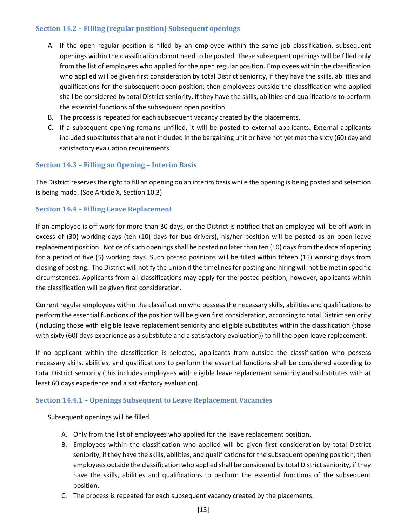#### <span id="page-21-0"></span>**Section 14.2 – Filling (regular position) Subsequent openings**

- A. If the open regular position is filled by an employee within the same job classification, subsequent openings within the classification do not need to be posted. These subsequent openings will be filled only from the list of employees who applied for the open regular position. Employees within the classification who applied will be given first consideration by total District seniority, if they have the skills, abilities and qualifications for the subsequent open position; then employees outside the classification who applied shall be considered by total District seniority, if they have the skills, abilities and qualifications to perform the essential functions of the subsequent open position.
- B. The process is repeated for each subsequent vacancy created by the placements.
- C. If a subsequent opening remains unfilled, it will be posted to external applicants. External applicants included substitutes that are not included in the bargaining unit or have not yet met the sixty (60) day and satisfactory evaluation requirements.

#### <span id="page-21-1"></span>**Section 14.3 – Filling an Opening – Interim Basis**

The District reserves the right to fill an opening on an interim basis while the opening is being posted and selection is being made. (See Article X, Section 10.3)

#### <span id="page-21-2"></span>**Section 14.4 – Filling Leave Replacement**

If an employee is off work for more than 30 days, or the District is notified that an employee will be off work in excess of (30) working days (ten (10) days for bus drivers), his/her position will be posted as an open leave replacement position. Notice of such openings shall be posted no later than ten (10) days from the date of opening for a period of five (5) working days. Such posted positions will be filled within fifteen (15) working days from closing of posting. The District will notify the Union if the timelines for posting and hiring will not be met in specific circumstances. Applicants from all classifications may apply for the posted position, however, applicants within the classification will be given first consideration.

Current regular employees within the classification who possess the necessary skills, abilities and qualifications to perform the essential functions of the position will be given first consideration, according to total District seniority (including those with eligible leave replacement seniority and eligible substitutes within the classification (those with sixty (60) days experience as a substitute and a satisfactory evaluation)) to fill the open leave replacement.

If no applicant within the classification is selected, applicants from outside the classification who possess necessary skills, abilities, and qualifications to perform the essential functions shall be considered according to total District seniority (this includes employees with eligible leave replacement seniority and substitutes with at least 60 days experience and a satisfactory evaluation).

#### <span id="page-21-3"></span>**Section 14.4.1 – Openings Subsequent to Leave Replacement Vacancies**

Subsequent openings will be filled.

- A. Only from the list of employees who applied for the leave replacement position.
- B. Employees within the classification who applied will be given first consideration by total District seniority, if they have the skills, abilities, and qualifications for the subsequent opening position; then employees outside the classification who applied shall be considered by total District seniority, if they have the skills, abilities and qualifications to perform the essential functions of the subsequent position.
- C. The process is repeated for each subsequent vacancy created by the placements.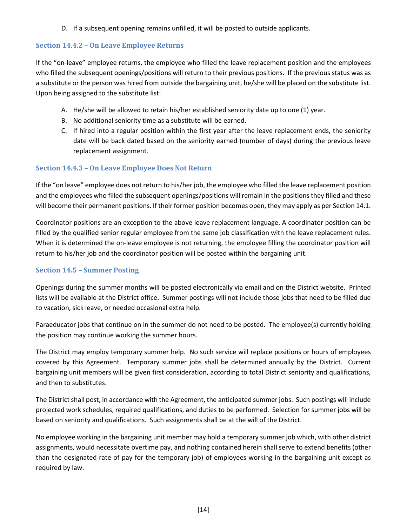D. If a subsequent opening remains unfilled, it will be posted to outside applicants.

#### <span id="page-22-0"></span>**Section 14.4.2 – On Leave Employee Returns**

If the "on-leave" employee returns, the employee who filled the leave replacement position and the employees who filled the subsequent openings/positions will return to their previous positions. If the previous status was as a substitute or the person was hired from outside the bargaining unit, he/she will be placed on the substitute list. Upon being assigned to the substitute list:

- A. He/she will be allowed to retain his/her established seniority date up to one (1) year.
- B. No additional seniority time as a substitute will be earned.
- C. If hired into a regular position within the first year after the leave replacement ends, the seniority date will be back dated based on the seniority earned (number of days) during the previous leave replacement assignment.

### <span id="page-22-1"></span>**Section 14.4.3 – On Leave Employee Does Not Return**

If the "on leave" employee does not return to his/her job, the employee who filled the leave replacement position and the employees who filled the subsequent openings/positions will remain in the positions they filled and these will become their permanent positions. If their former position becomes open, they may apply as per Section 14.1.

Coordinator positions are an exception to the above leave replacement language. A coordinator position can be filled by the qualified senior regular employee from the same job classification with the leave replacement rules. When it is determined the on-leave employee is not returning, the employee filling the coordinator position will return to his/her job and the coordinator position will be posted within the bargaining unit.

#### <span id="page-22-2"></span>**Section 14.5 – Summer Posting**

Openings during the summer months will be posted electronically via email and on the District website. Printed lists will be available at the District office. Summer postings will not include those jobs that need to be filled due to vacation, sick leave, or needed occasional extra help.

Paraeducator jobs that continue on in the summer do not need to be posted. The employee(s) currently holding the position may continue working the summer hours.

The District may employ temporary summer help. No such service will replace positions or hours of employees covered by this Agreement. Temporary summer jobs shall be determined annually by the District. Current bargaining unit members will be given first consideration, according to total District seniority and qualifications, and then to substitutes.

The District shall post, in accordance with the Agreement, the anticipated summer jobs. Such postings will include projected work schedules, required qualifications, and duties to be performed. Selection for summer jobs will be based on seniority and qualifications. Such assignments shall be at the will of the District.

No employee working in the bargaining unit member may hold a temporary summer job which, with other district assignments, would necessitate overtime pay, and nothing contained herein shall serve to extend benefits (other than the designated rate of pay for the temporary job) of employees working in the bargaining unit except as required by law.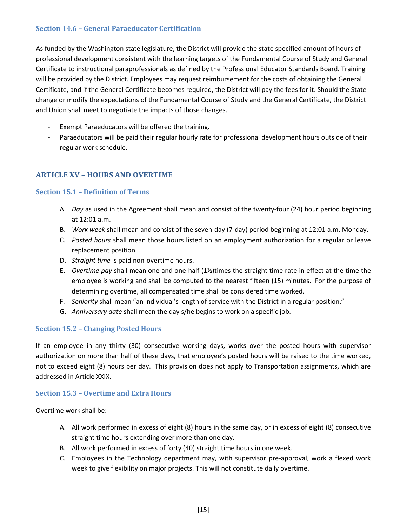#### <span id="page-23-0"></span>**Section 14.6 – General Paraeducator Certification**

As funded by the Washington state legislature, the District will provide the state specified amount of hours of professional development consistent with the learning targets of the Fundamental Course of Study and General Certificate to instructional paraprofessionals as defined by the Professional Educator Standards Board. Training will be provided by the District. Employees may request reimbursement for the costs of obtaining the General Certificate, and if the General Certificate becomes required, the District will pay the fees for it. Should the State change or modify the expectations of the Fundamental Course of Study and the General Certificate, the District and Union shall meet to negotiate the impacts of those changes.

- Exempt Paraeducators will be offered the training.
- Paraeducators will be paid their regular hourly rate for professional development hours outside of their regular work schedule.

### <span id="page-23-1"></span>**ARTICLE XV – HOURS AND OVERTIME**

#### <span id="page-23-2"></span>**Section 15.1 – Definition of Terms**

- A. *Day* as used in the Agreement shall mean and consist of the twenty-four (24) hour period beginning at 12:01 a.m.
- B. *Work week* shall mean and consist of the seven-day (7-day) period beginning at 12:01 a.m. Monday.
- C. *Posted hours* shall mean those hours listed on an employment authorization for a regular or leave replacement position.
- D. *Straight time* is paid non-overtime hours.
- E. *Overtime pay* shall mean one and one-half (1½)times the straight time rate in effect at the time the employee is working and shall be computed to the nearest fifteen (15) minutes. For the purpose of determining overtime, all compensated time shall be considered time worked.
- F. *Seniority* shall mean "an individual's length of service with the District in a regular position."
- G. *Anniversary date* shall mean the day s/he begins to work on a specific job.

#### <span id="page-23-3"></span>**Section 15.2 – Changing Posted Hours**

If an employee in any thirty (30) consecutive working days, works over the posted hours with supervisor authorization on more than half of these days, that employee's posted hours will be raised to the time worked, not to exceed eight (8) hours per day. This provision does not apply to Transportation assignments, which are addressed in Article XXIX.

#### <span id="page-23-4"></span>**Section 15.3 – Overtime and Extra Hours**

Overtime work shall be:

- A. All work performed in excess of eight (8) hours in the same day, or in excess of eight (8) consecutive straight time hours extending over more than one day.
- B. All work performed in excess of forty (40) straight time hours in one week.
- C. Employees in the Technology department may, with supervisor pre-approval, work a flexed work week to give flexibility on major projects. This will not constitute daily overtime.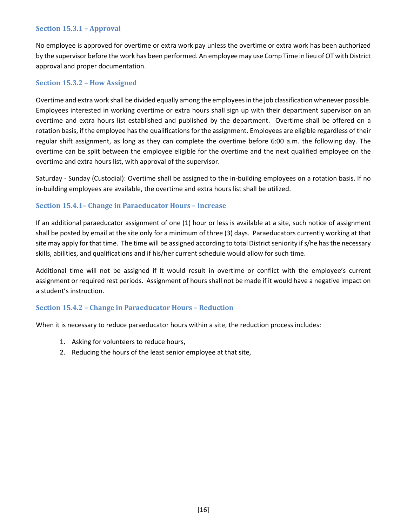#### <span id="page-24-0"></span>**Section 15.3.1 – Approval**

No employee is approved for overtime or extra work pay unless the overtime or extra work has been authorized by the supervisor before the work has been performed. An employee may use Comp Time in lieu of OT with District approval and proper documentation.

#### <span id="page-24-1"></span>**Section 15.3.2 – How Assigned**

Overtime and extra work shall be divided equally among the employees in the job classification whenever possible. Employees interested in working overtime or extra hours shall sign up with their department supervisor on an overtime and extra hours list established and published by the department. Overtime shall be offered on a rotation basis, if the employee has the qualifications for the assignment. Employees are eligible regardless of their regular shift assignment, as long as they can complete the overtime before 6:00 a.m. the following day. The overtime can be split between the employee eligible for the overtime and the next qualified employee on the overtime and extra hours list, with approval of the supervisor.

Saturday - Sunday (Custodial): Overtime shall be assigned to the in-building employees on a rotation basis. If no in-building employees are available, the overtime and extra hours list shall be utilized.

#### <span id="page-24-2"></span>**Section 15.4.1– Change in Paraeducator Hours – Increase**

If an additional paraeducator assignment of one (1) hour or less is available at a site, such notice of assignment shall be posted by email at the site only for a minimum of three (3) days. Paraeducators currently working at that site may apply for that time. The time will be assigned according to total District seniority if s/he has the necessary skills, abilities, and qualifications and if his/her current schedule would allow for such time.

Additional time will not be assigned if it would result in overtime or conflict with the employee's current assignment or required rest periods. Assignment of hours shall not be made if it would have a negative impact on a student's instruction.

#### <span id="page-24-3"></span>**Section 15.4.2 – Change in Paraeducator Hours – Reduction**

When it is necessary to reduce paraeducator hours within a site, the reduction process includes:

- 1. Asking for volunteers to reduce hours,
- 2. Reducing the hours of the least senior employee at that site,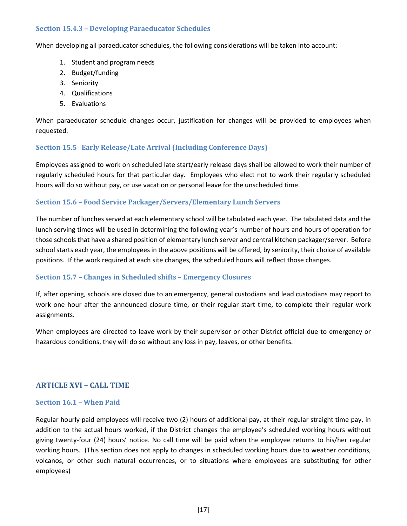#### <span id="page-25-0"></span>**Section 15.4.3 – Developing Paraeducator Schedules**

When developing all paraeducator schedules, the following considerations will be taken into account:

- 1. Student and program needs
- 2. Budget/funding
- 3. Seniority
- 4. Qualifications
- 5. Evaluations

When paraeducator schedule changes occur, justification for changes will be provided to employees when requested.

#### <span id="page-25-1"></span>**Section 15.5 Early Release/Late Arrival (Including Conference Days)**

Employees assigned to work on scheduled late start/early release days shall be allowed to work their number of regularly scheduled hours for that particular day. Employees who elect not to work their regularly scheduled hours will do so without pay, or use vacation or personal leave for the unscheduled time.

#### <span id="page-25-2"></span>**Section 15.6 – Food Service Packager/Servers/Elementary Lunch Servers**

The number of lunches served at each elementary school will be tabulated each year. The tabulated data and the lunch serving times will be used in determining the following year's number of hours and hours of operation for those schools that have a shared position of elementary lunch server and central kitchen packager/server. Before school starts each year, the employees in the above positions will be offered, by seniority, their choice of available positions. If the work required at each site changes, the scheduled hours will reflect those changes.

#### <span id="page-25-3"></span>**Section 15.7 – Changes in Scheduled shifts – Emergency Closures**

If, after opening, schools are closed due to an emergency, general custodians and lead custodians may report to work one hour after the announced closure time, or their regular start time, to complete their regular work assignments.

When employees are directed to leave work by their supervisor or other District official due to emergency or hazardous conditions, they will do so without any loss in pay, leaves, or other benefits.

#### <span id="page-25-4"></span>**ARTICLE XVI – CALL TIME**

#### <span id="page-25-5"></span>**Section 16.1 – When Paid**

Regular hourly paid employees will receive two (2) hours of additional pay, at their regular straight time pay, in addition to the actual hours worked, if the District changes the employee's scheduled working hours without giving twenty-four (24) hours' notice. No call time will be paid when the employee returns to his/her regular working hours. (This section does not apply to changes in scheduled working hours due to weather conditions, volcanos, or other such natural occurrences, or to situations where employees are substituting for other employees)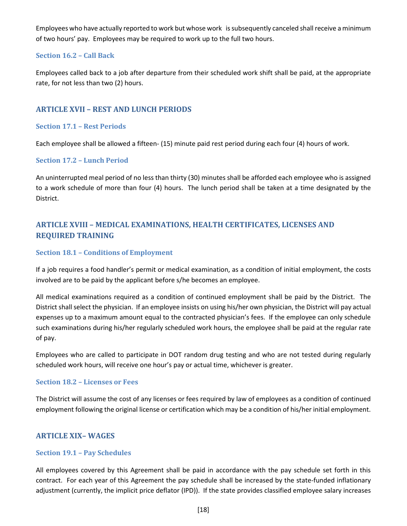Employees who have actually reported to work but whose work is subsequently canceled shall receive a minimum of two hours' pay. Employees may be required to work up to the full two hours.

#### <span id="page-26-0"></span>**Section 16.2 – Call Back**

Employees called back to a job after departure from their scheduled work shift shall be paid, at the appropriate rate, for not less than two (2) hours.

#### <span id="page-26-1"></span>**ARTICLE XVII – REST AND LUNCH PERIODS**

#### <span id="page-26-2"></span>**Section 17.1 – Rest Periods**

Each employee shall be allowed a fifteen- (15) minute paid rest period during each four (4) hours of work.

#### <span id="page-26-3"></span>**Section 17.2 – Lunch Period**

An uninterrupted meal period of no less than thirty (30) minutes shall be afforded each employee who is assigned to a work schedule of more than four (4) hours. The lunch period shall be taken at a time designated by the District.

### <span id="page-26-4"></span>**ARTICLE XVIII – MEDICAL EXAMINATIONS, HEALTH CERTIFICATES, LICENSES AND REQUIRED TRAINING**

#### <span id="page-26-5"></span>**Section 18.1 – Conditions of Employment**

If a job requires a food handler's permit or medical examination, as a condition of initial employment, the costs involved are to be paid by the applicant before s/he becomes an employee.

All medical examinations required as a condition of continued employment shall be paid by the District. The District shall select the physician. If an employee insists on using his/her own physician, the District will pay actual expenses up to a maximum amount equal to the contracted physician's fees. If the employee can only schedule such examinations during his/her regularly scheduled work hours, the employee shall be paid at the regular rate of pay.

Employees who are called to participate in DOT random drug testing and who are not tested during regularly scheduled work hours, will receive one hour's pay or actual time, whichever is greater.

#### <span id="page-26-6"></span>**Section 18.2 – Licenses or Fees**

The District will assume the cost of any licenses or fees required by law of employees as a condition of continued employment following the original license or certification which may be a condition of his/her initial employment.

#### <span id="page-26-7"></span>**ARTICLE XIX– WAGES**

#### <span id="page-26-8"></span>**Section 19.1 – Pay Schedules**

All employees covered by this Agreement shall be paid in accordance with the pay schedule set forth in this contract. For each year of this Agreement the pay schedule shall be increased by the state-funded inflationary adjustment (currently, the implicit price deflator (IPD)). If the state provides classified employee salary increases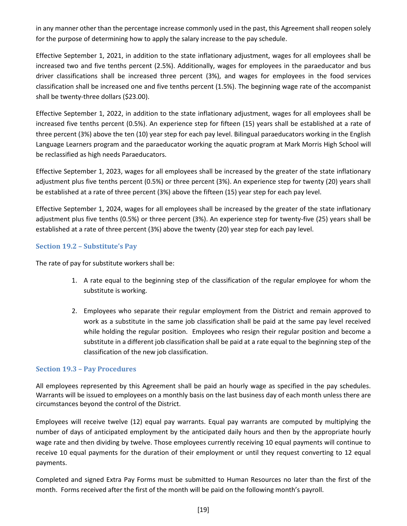in any manner other than the percentage increase commonly used in the past, this Agreement shall reopen solely for the purpose of determining how to apply the salary increase to the pay schedule.

Effective September 1, 2021, in addition to the state inflationary adjustment, wages for all employees shall be increased two and five tenths percent (2.5%). Additionally, wages for employees in the paraeducator and bus driver classifications shall be increased three percent (3%), and wages for employees in the food services classification shall be increased one and five tenths percent (1.5%). The beginning wage rate of the accompanist shall be twenty-three dollars (\$23.00).

Effective September 1, 2022, in addition to the state inflationary adjustment, wages for all employees shall be increased five tenths percent (0.5%). An experience step for fifteen (15) years shall be established at a rate of three percent (3%) above the ten (10) year step for each pay level. Bilingual paraeducators working in the English Language Learners program and the paraeducator working the aquatic program at Mark Morris High School will be reclassified as high needs Paraeducators.

Effective September 1, 2023, wages for all employees shall be increased by the greater of the state inflationary adjustment plus five tenths percent (0.5%) or three percent (3%). An experience step for twenty (20) years shall be established at a rate of three percent (3%) above the fifteen (15) year step for each pay level.

Effective September 1, 2024, wages for all employees shall be increased by the greater of the state inflationary adjustment plus five tenths (0.5%) or three percent (3%). An experience step for twenty-five (25) years shall be established at a rate of three percent (3%) above the twenty (20) year step for each pay level.

#### <span id="page-27-0"></span>**Section 19.2 – Substitute's Pay**

The rate of pay for substitute workers shall be:

- 1. A rate equal to the beginning step of the classification of the regular employee for whom the substitute is working.
- 2. Employees who separate their regular employment from the District and remain approved to work as a substitute in the same job classification shall be paid at the same pay level received while holding the regular position. Employees who resign their regular position and become a substitute in a different job classification shall be paid at a rate equal to the beginning step of the classification of the new job classification.

#### <span id="page-27-1"></span>**Section 19.3 – Pay Procedures**

All employees represented by this Agreement shall be paid an hourly wage as specified in the pay schedules. Warrants will be issued to employees on a monthly basis on the last business day of each month unless there are circumstances beyond the control of the District.

Employees will receive twelve (12) equal pay warrants. Equal pay warrants are computed by multiplying the number of days of anticipated employment by the anticipated daily hours and then by the appropriate hourly wage rate and then dividing by twelve. Those employees currently receiving 10 equal payments will continue to receive 10 equal payments for the duration of their employment or until they request converting to 12 equal payments.

Completed and signed Extra Pay Forms must be submitted to Human Resources no later than the first of the month. Forms received after the first of the month will be paid on the following month's payroll.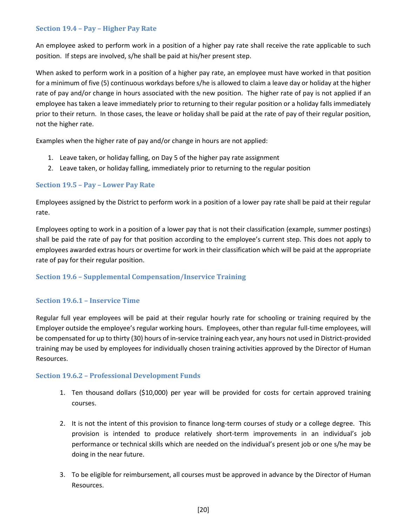#### <span id="page-28-0"></span>**Section 19.4 – Pay – Higher Pay Rate**

An employee asked to perform work in a position of a higher pay rate shall receive the rate applicable to such position. If steps are involved, s/he shall be paid at his/her present step.

When asked to perform work in a position of a higher pay rate, an employee must have worked in that position for a minimum of five (5) continuous workdays before s/he is allowed to claim a leave day or holiday at the higher rate of pay and/or change in hours associated with the new position. The higher rate of pay is not applied if an employee has taken a leave immediately prior to returning to their regular position or a holiday falls immediately prior to their return. In those cases, the leave or holiday shall be paid at the rate of pay of their regular position, not the higher rate.

Examples when the higher rate of pay and/or change in hours are not applied:

- 1. Leave taken, or holiday falling, on Day 5 of the higher pay rate assignment
- 2. Leave taken, or holiday falling, immediately prior to returning to the regular position

#### <span id="page-28-1"></span>**Section 19.5 – Pay – Lower Pay Rate**

Employees assigned by the District to perform work in a position of a lower pay rate shall be paid at their regular rate.

Employees opting to work in a position of a lower pay that is not their classification (example, summer postings) shall be paid the rate of pay for that position according to the employee's current step. This does not apply to employees awarded extras hours or overtime for work in their classification which will be paid at the appropriate rate of pay for their regular position.

#### <span id="page-28-2"></span>**Section 19.6 – Supplemental Compensation/Inservice Training**

#### <span id="page-28-3"></span>**Section 19.6.1 – Inservice Time**

Regular full year employees will be paid at their regular hourly rate for schooling or training required by the Employer outside the employee's regular working hours. Employees, other than regular full-time employees, will be compensated for up to thirty (30) hours of in-service training each year, any hours not used in District-provided training may be used by employees for individually chosen training activities approved by the Director of Human Resources.

#### <span id="page-28-4"></span>**Section 19.6.2 – Professional Development Funds**

- 1. Ten thousand dollars (\$10,000) per year will be provided for costs for certain approved training courses.
- 2. It is not the intent of this provision to finance long-term courses of study or a college degree. This provision is intended to produce relatively short-term improvements in an individual's job performance or technical skills which are needed on the individual's present job or one s/he may be doing in the near future.
- 3. To be eligible for reimbursement, all courses must be approved in advance by the Director of Human Resources.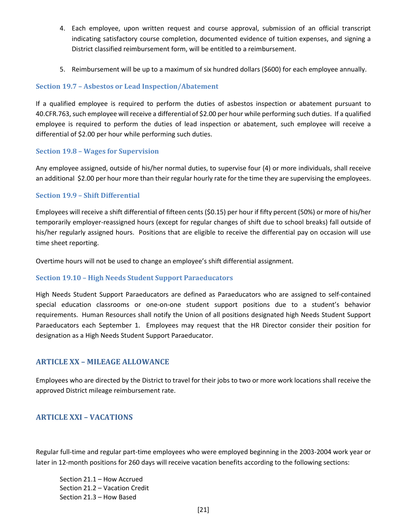- 4. Each employee, upon written request and course approval, submission of an official transcript indicating satisfactory course completion, documented evidence of tuition expenses, and signing a District classified reimbursement form, will be entitled to a reimbursement.
- 5. Reimbursement will be up to a maximum of six hundred dollars (\$600) for each employee annually.

#### <span id="page-29-0"></span>**Section 19.7 – Asbestos or Lead Inspection/Abatement**

If a qualified employee is required to perform the duties of asbestos inspection or abatement pursuant to 40.CFR.763, such employee will receive a differential of \$2.00 per hour while performing such duties. If a qualified employee is required to perform the duties of lead inspection or abatement, such employee will receive a differential of \$2.00 per hour while performing such duties.

#### <span id="page-29-1"></span>**Section 19.8 – Wages for Supervision**

Any employee assigned, outside of his/her normal duties, to supervise four (4) or more individuals, shall receive an additional \$2.00 per hour more than their regular hourly rate for the time they are supervising the employees.

#### <span id="page-29-2"></span>**Section 19.9 – Shift Differential**

Employees will receive a shift differential of fifteen cents (\$0.15) per hour if fifty percent (50%) or more of his/her temporarily employer-reassigned hours (except for regular changes of shift due to school breaks) fall outside of his/her regularly assigned hours. Positions that are eligible to receive the differential pay on occasion will use time sheet reporting.

Overtime hours will not be used to change an employee's shift differential assignment.

#### <span id="page-29-3"></span>**Section 19.10 – High Needs Student Support Paraeducators**

High Needs Student Support Paraeducators are defined as Paraeducators who are assigned to self-contained special education classrooms or one-on-one student support positions due to a student's behavior requirements. Human Resources shall notify the Union of all positions designated high Needs Student Support Paraeducators each September 1. Employees may request that the HR Director consider their position for designation as a High Needs Student Support Paraeducator.

#### <span id="page-29-4"></span>**ARTICLE XX – MILEAGE ALLOWANCE**

Employees who are directed by the District to travel for their jobs to two or more work locations shall receive the approved District mileage reimbursement rate.

### <span id="page-29-5"></span>**ARTICLE XXI – VACATIONS**

Regular full-time and regular part-time employees who were employed beginning in the 2003-2004 work year or later in 12-month positions for 260 days will receive vacation benefits according to the following sections:

Section 21.1 – How Accrued Section 21.2 – Vacation Credit Section 21.3 – How Based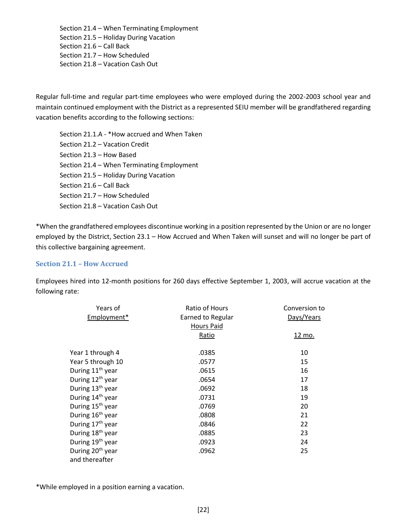Section 21.4 – When Terminating Employment Section 21.5 – Holiday During Vacation Section 21.6 – Call Back Section 21.7 – How Scheduled Section 21.8 – Vacation Cash Out

Regular full-time and regular part-time employees who were employed during the 2002-2003 school year and maintain continued employment with the District as a represented SEIU member will be grandfathered regarding vacation benefits according to the following sections:

Section 21.1.A - \*How accrued and When Taken Section 21.2 – Vacation Credit Section 21.3 – How Based Section 21.4 – When Terminating Employment Section 21.5 – Holiday During Vacation Section 21.6 – Call Back Section 21.7 – How Scheduled Section 21.8 – Vacation Cash Out

\*When the grandfathered employees discontinue working in a position represented by the Union or are no longer employed by the District, Section 23.1 – How Accrued and When Taken will sunset and will no longer be part of this collective bargaining agreement.

#### <span id="page-30-0"></span>**Section 21.1 – How Accrued**

Employees hired into 12-month positions for 260 days effective September 1, 2003, will accrue vacation at the following rate:

| Years of<br>Employment*      | Ratio of Hours<br>Earned to Regular | Conversion to<br>Days/Years |
|------------------------------|-------------------------------------|-----------------------------|
|                              | <b>Hours Paid</b><br>Ratio          | <u>12 mo.</u>               |
|                              |                                     |                             |
| Year 1 through 4             | .0385                               | 10                          |
| Year 5 through 10            | .0577                               | 15                          |
| During 11 <sup>th</sup> year | .0615                               | 16                          |
| During 12 <sup>th</sup> year | .0654                               | 17                          |
| During 13 <sup>th</sup> year | .0692                               | 18                          |
| During 14 <sup>th</sup> year | .0731                               | 19                          |
| During 15 <sup>th</sup> year | .0769                               | 20                          |
| During 16 <sup>th</sup> year | .0808                               | 21                          |
| During 17 <sup>th</sup> year | .0846                               | 22                          |
| During 18 <sup>th</sup> year | .0885                               | 23                          |
| During 19 <sup>th</sup> year | .0923                               | 24                          |
| During 20 <sup>th</sup> year | .0962                               | 25                          |
| and thereafter               |                                     |                             |

\*While employed in a position earning a vacation.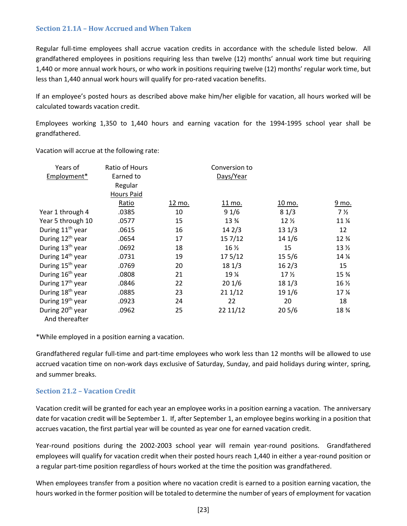#### <span id="page-31-0"></span>**Section 21.1A – How Accrued and When Taken**

Regular full-time employees shall accrue vacation credits in accordance with the schedule listed below. All grandfathered employees in positions requiring less than twelve (12) months' annual work time but requiring 1,440 or more annual work hours, or who work in positions requiring twelve (12) months' regular work time, but less than 1,440 annual work hours will qualify for pro-rated vacation benefits.

If an employee's posted hours as described above make him/her eligible for vacation, all hours worked will be calculated towards vacation credit.

Employees working 1,350 to 1,440 hours and earning vacation for the 1994-1995 school year shall be grandfathered.

Vacation will accrue at the following rate:

| Years of                     | Ratio of Hours | Conversion to |                            |                 |                  |
|------------------------------|----------------|---------------|----------------------------|-----------------|------------------|
| Employment*                  | Earned to      | Days/Year     |                            |                 |                  |
|                              | Regular        |               |                            |                 |                  |
|                              | Hours Paid     |               |                            |                 |                  |
|                              | Ratio          | 12 mo.        | <u>11 mo.</u>              | 10 mo.          | 9 mo.            |
| Year 1 through 4             | .0385          | 10            | 91/6                       | 81/3            | 7 <sub>2</sub>   |
| Year 5 through 10            | .0577          | 15            | 13 %                       | 12 <sub>2</sub> | 11 %             |
| During 11 <sup>th</sup> year | .0615          | 16            | 142/3                      | 131/3           | 12               |
| During 12 <sup>th</sup> year | .0654          | 17            | 15 7/12                    | 141/6           | 12 %             |
| During 13 <sup>th</sup> year | .0692          | 18            | $16\,\frac{\cancel{1}}{2}$ | 15              | 13 <sub>2</sub>  |
| During 14 <sup>th</sup> year | .0731          | 19            | 175/12                     | 155/6           | 14 %             |
| During 15 <sup>th</sup> year | .0769          | 20            | 181/3                      | 162/3           | 15               |
| During 16 <sup>th</sup> year | .0808          | 21            | 19 %                       | 17 <sub>2</sub> | 15 %             |
| During 17 <sup>th</sup> year | .0846          | 22            | 201/6                      | 181/3           | 16 $\frac{1}{2}$ |
| During 18 <sup>th</sup> year | .0885          | 23            | 211/12                     | 19 1/6          | 17 %             |
| During 19 <sup>th</sup> year | .0923          | 24            | 22                         | 20              | 18               |
| During 20 <sup>th</sup> year | .0962          | 25            | 22 11/12                   | 205/6           | 18 %             |
| And thereafter               |                |               |                            |                 |                  |

\*While employed in a position earning a vacation.

Grandfathered regular full-time and part-time employees who work less than 12 months will be allowed to use accrued vacation time on non-work days exclusive of Saturday, Sunday, and paid holidays during winter, spring, and summer breaks.

#### <span id="page-31-1"></span>**Section 21.2 – Vacation Credit**

Vacation credit will be granted for each year an employee works in a position earning a vacation. The anniversary date for vacation credit will be September 1. If, after September 1, an employee begins working in a position that accrues vacation, the first partial year will be counted as year one for earned vacation credit.

Year-round positions during the 2002-2003 school year will remain year-round positions. Grandfathered employees will qualify for vacation credit when their posted hours reach 1,440 in either a year-round position or a regular part-time position regardless of hours worked at the time the position was grandfathered.

When employees transfer from a position where no vacation credit is earned to a position earning vacation, the hours worked in the former position will be totaled to determine the number of years of employment for vacation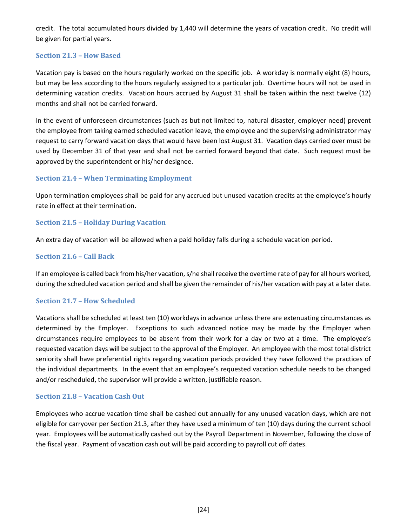credit. The total accumulated hours divided by 1,440 will determine the years of vacation credit. No credit will be given for partial years.

#### <span id="page-32-0"></span>**Section 21.3 – How Based**

Vacation pay is based on the hours regularly worked on the specific job. A workday is normally eight (8) hours, but may be less according to the hours regularly assigned to a particular job. Overtime hours will not be used in determining vacation credits. Vacation hours accrued by August 31 shall be taken within the next twelve (12) months and shall not be carried forward.

In the event of unforeseen circumstances (such as but not limited to, natural disaster, employer need) prevent the employee from taking earned scheduled vacation leave, the employee and the supervising administrator may request to carry forward vacation days that would have been lost August 31. Vacation days carried over must be used by December 31 of that year and shall not be carried forward beyond that date. Such request must be approved by the superintendent or his/her designee.

#### <span id="page-32-1"></span>**Section 21.4 – When Terminating Employment**

Upon termination employees shall be paid for any accrued but unused vacation credits at the employee's hourly rate in effect at their termination.

#### <span id="page-32-2"></span>**Section 21.5 – Holiday During Vacation**

An extra day of vacation will be allowed when a paid holiday falls during a schedule vacation period.

#### <span id="page-32-3"></span>**Section 21.6 – Call Back**

If an employee is called back from his/her vacation, s/he shall receive the overtime rate of pay for all hours worked, during the scheduled vacation period and shall be given the remainder of his/her vacation with pay at a later date.

#### <span id="page-32-4"></span>**Section 21.7 – How Scheduled**

Vacations shall be scheduled at least ten (10) workdays in advance unless there are extenuating circumstances as determined by the Employer. Exceptions to such advanced notice may be made by the Employer when circumstances require employees to be absent from their work for a day or two at a time. The employee's requested vacation days will be subject to the approval of the Employer. An employee with the most total district seniority shall have preferential rights regarding vacation periods provided they have followed the practices of the individual departments.In the event that an employee's requested vacation schedule needs to be changed and/or rescheduled, the supervisor will provide a written, justifiable reason.

#### <span id="page-32-5"></span>**Section 21.8 – Vacation Cash Out**

Employees who accrue vacation time shall be cashed out annually for any unused vacation days, which are not eligible for carryover per Section 21.3, after they have used a minimum of ten (10) days during the current school year. Employees will be automatically cashed out by the Payroll Department in November, following the close of the fiscal year. Payment of vacation cash out will be paid according to payroll cut off dates.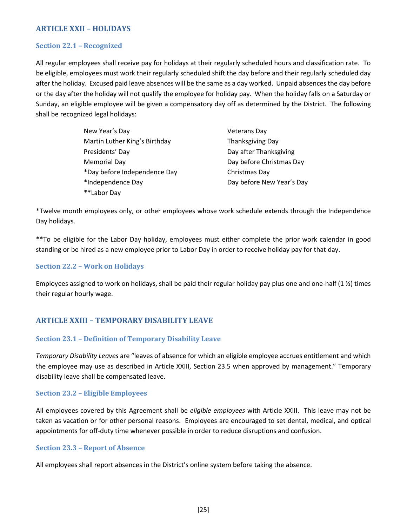### <span id="page-33-0"></span>**ARTICLE XXII – HOLIDAYS**

#### <span id="page-33-1"></span>**Section 22.1 – Recognized**

All regular employees shall receive pay for holidays at their regularly scheduled hours and classification rate. To be eligible, employees must work their regularly scheduled shift the day before and their regularly scheduled day after the holiday. Excused paid leave absences will be the same as a day worked. Unpaid absences the day before or the day after the holiday will not qualify the employee for holiday pay. When the holiday falls on a Saturday or Sunday, an eligible employee will be given a compensatory day off as determined by the District. The following shall be recognized legal holidays:

| New Year's Day                | <b>Veterans Day</b>       |
|-------------------------------|---------------------------|
| Martin Luther King's Birthday | Thanksgiving Day          |
| Presidents' Day               | Day after Thanksgiving    |
| Memorial Day                  | Day before Christmas Day  |
| *Day before Independence Day  | Christmas Day             |
| *Independence Day             | Day before New Year's Day |
| **Labor Day                   |                           |

\*Twelve month employees only, or other employees whose work schedule extends through the Independence Day holidays.

\*\*To be eligible for the Labor Day holiday, employees must either complete the prior work calendar in good standing or be hired as a new employee prior to Labor Day in order to receive holiday pay for that day.

#### <span id="page-33-2"></span>**Section 22.2 – Work on Holidays**

Employees assigned to work on holidays, shall be paid their regular holiday pay plus one and one-half  $(1 \frac{1}{2})$  times their regular hourly wage.

### <span id="page-33-3"></span>**ARTICLE XXIII – TEMPORARY DISABILITY LEAVE**

#### <span id="page-33-4"></span>**Section 23.1 – Definition of Temporary Disability Leave**

*Temporary Disability Leaves* are "leaves of absence for which an eligible employee accrues entitlement and which the employee may use as described in Article XXIII, Section 23.5 when approved by management." Temporary disability leave shall be compensated leave.

#### <span id="page-33-5"></span>**Section 23.2 – Eligible Employees**

All employees covered by this Agreement shall be *eligible employees* with Article XXIII. This leave may not be taken as vacation or for other personal reasons. Employees are encouraged to set dental, medical, and optical appointments for off-duty time whenever possible in order to reduce disruptions and confusion.

#### <span id="page-33-6"></span>**Section 23.3 – Report of Absence**

All employees shall report absences in the District's online system before taking the absence.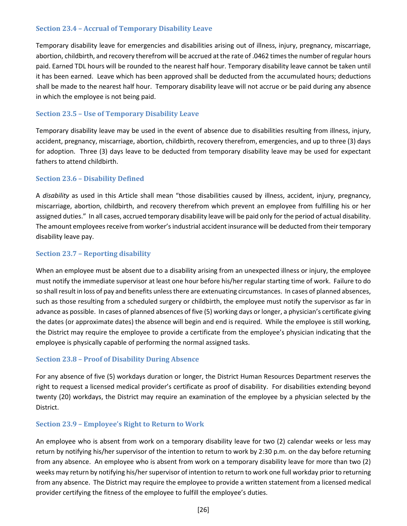#### <span id="page-34-0"></span>**Section 23.4 – Accrual of Temporary Disability Leave**

Temporary disability leave for emergencies and disabilities arising out of illness, injury, pregnancy, miscarriage, abortion, childbirth, and recovery therefrom will be accrued at the rate of .0462 times the number of regular hours paid. Earned TDL hours will be rounded to the nearest half hour. Temporary disability leave cannot be taken until it has been earned. Leave which has been approved shall be deducted from the accumulated hours; deductions shall be made to the nearest half hour. Temporary disability leave will not accrue or be paid during any absence in which the employee is not being paid.

#### <span id="page-34-1"></span>**Section 23.5 – Use of Temporary Disability Leave**

Temporary disability leave may be used in the event of absence due to disabilities resulting from illness, injury, accident, pregnancy, miscarriage, abortion, childbirth, recovery therefrom, emergencies, and up to three (3) days for adoption. Three (3) days leave to be deducted from temporary disability leave may be used for expectant fathers to attend childbirth.

#### <span id="page-34-2"></span>**Section 23.6 – Disability Defined**

A *disability* as used in this Article shall mean "those disabilities caused by illness, accident, injury, pregnancy, miscarriage, abortion, childbirth, and recovery therefrom which prevent an employee from fulfilling his or her assigned duties." In all cases, accrued temporary disability leave will be paid only for the period of actual disability. The amount employees receive from worker's industrial accident insurance will be deducted from their temporary disability leave pay.

#### <span id="page-34-3"></span>**Section 23.7 – Reporting disability**

When an employee must be absent due to a disability arising from an unexpected illness or injury, the employee must notify the immediate supervisor at least one hour before his/her regular starting time of work. Failure to do so shall result in loss of pay and benefits unless there are extenuating circumstances. In cases of planned absences, such as those resulting from a scheduled surgery or childbirth, the employee must notify the supervisor as far in advance as possible. In cases of planned absences of five (5) working days or longer, a physician's certificate giving the dates (or approximate dates) the absence will begin and end is required. While the employee is still working, the District may require the employee to provide a certificate from the employee's physician indicating that the employee is physically capable of performing the normal assigned tasks.

#### <span id="page-34-4"></span>**Section 23.8 – Proof of Disability During Absence**

For any absence of five (5) workdays duration or longer, the District Human Resources Department reserves the right to request a licensed medical provider's certificate as proof of disability. For disabilities extending beyond twenty (20) workdays, the District may require an examination of the employee by a physician selected by the District.

#### <span id="page-34-5"></span>**Section 23.9 – Employee's Right to Return to Work**

An employee who is absent from work on a temporary disability leave for two (2) calendar weeks or less may return by notifying his/her supervisor of the intention to return to work by 2:30 p.m. on the day before returning from any absence. An employee who is absent from work on a temporary disability leave for more than two (2) weeks may return by notifying his/her supervisor of intention to return to work one full workday prior to returning from any absence. The District may require the employee to provide a written statement from a licensed medical provider certifying the fitness of the employee to fulfill the employee's duties.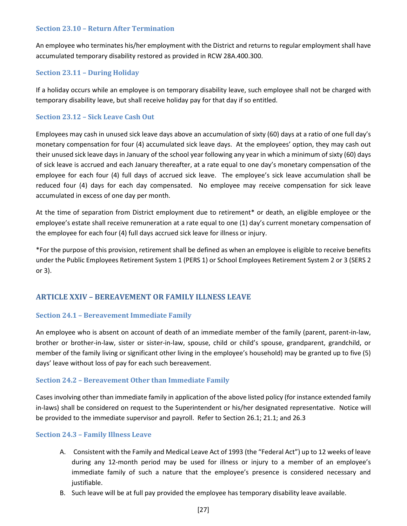#### <span id="page-35-0"></span>**Section 23.10 – Return After Termination**

An employee who terminates his/her employment with the District and returns to regular employment shall have accumulated temporary disability restored as provided in RCW 28A.400.300.

#### <span id="page-35-1"></span>**Section 23.11 – During Holiday**

If a holiday occurs while an employee is on temporary disability leave, such employee shall not be charged with temporary disability leave, but shall receive holiday pay for that day if so entitled.

### <span id="page-35-2"></span>**Section 23.12 – Sick Leave Cash Out**

Employees may cash in unused sick leave days above an accumulation of sixty (60) days at a ratio of one full day's monetary compensation for four (4) accumulated sick leave days. At the employees' option, they may cash out their unused sick leave days in January of the school year following any year in which a minimum of sixty (60) days of sick leave is accrued and each January thereafter, at a rate equal to one day's monetary compensation of the employee for each four (4) full days of accrued sick leave. The employee's sick leave accumulation shall be reduced four (4) days for each day compensated. No employee may receive compensation for sick leave accumulated in excess of one day per month.

At the time of separation from District employment due to retirement\* or death, an eligible employee or the employee's estate shall receive remuneration at a rate equal to one (1) day's current monetary compensation of the employee for each four (4) full days accrued sick leave for illness or injury.

\*For the purpose of this provision, retirement shall be defined as when an employee is eligible to receive benefits under the Public Employees Retirement System 1 (PERS 1) or School Employees Retirement System 2 or 3 (SERS 2 or 3).

### <span id="page-35-3"></span>**ARTICLE XXIV – BEREAVEMENT OR FAMILY ILLNESS LEAVE**

#### <span id="page-35-4"></span>**Section 24.1 – Bereavement Immediate Family**

An employee who is absent on account of death of an immediate member of the family (parent, parent-in-law, brother or brother-in-law, sister or sister-in-law, spouse, child or child's spouse, grandparent, grandchild, or member of the family living or significant other living in the employee's household) may be granted up to five (5) days' leave without loss of pay for each such bereavement.

### <span id="page-35-5"></span>**Section 24.2 – Bereavement Other than Immediate Family**

Cases involving other than immediate family in application of the above listed policy (for instance extended family in-laws) shall be considered on request to the Superintendent or his/her designated representative. Notice will be provided to the immediate supervisor and payroll. Refer to Section 26.1; 21.1; and 26.3

#### <span id="page-35-6"></span>**Section 24.3 – Family Illness Leave**

- A. Consistent with the Family and Medical Leave Act of 1993 (the "Federal Act") up to 12 weeks of leave during any 12-month period may be used for illness or injury to a member of an employee's immediate family of such a nature that the employee's presence is considered necessary and justifiable.
- B. Such leave will be at full pay provided the employee has temporary disability leave available.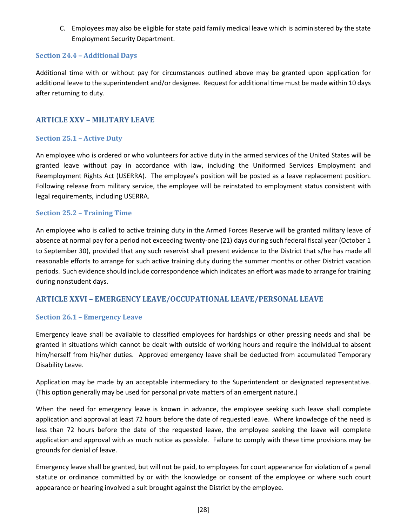C. Employees may also be eligible for state paid family medical leave which is administered by the state Employment Security Department.

#### <span id="page-36-0"></span>**Section 24.4 – Additional Days**

Additional time with or without pay for circumstances outlined above may be granted upon application for additional leave to the superintendent and/or designee. Request for additional time must be made within 10 days after returning to duty.

#### <span id="page-36-1"></span>**ARTICLE XXV – MILITARY LEAVE**

#### <span id="page-36-2"></span>**Section 25.1 – Active Duty**

An employee who is ordered or who volunteers for active duty in the armed services of the United States will be granted leave without pay in accordance with law, including the Uniformed Services Employment and Reemployment Rights Act (USERRA). The employee's position will be posted as a leave replacement position. Following release from military service, the employee will be reinstated to employment status consistent with legal requirements, including USERRA.

#### <span id="page-36-3"></span>**Section 25.2 – Training Time**

An employee who is called to active training duty in the Armed Forces Reserve will be granted military leave of absence at normal pay for a period not exceeding twenty-one (21) days during such federal fiscal year (October 1 to September 30), provided that any such reservist shall present evidence to the District that s/he has made all reasonable efforts to arrange for such active training duty during the summer months or other District vacation periods. Such evidence should include correspondence which indicates an effort was made to arrange for training during nonstudent days.

#### <span id="page-36-4"></span>**ARTICLE XXVI – EMERGENCY LEAVE/OCCUPATIONAL LEAVE/PERSONAL LEAVE**

#### <span id="page-36-5"></span>**Section 26.1 – Emergency Leave**

Emergency leave shall be available to classified employees for hardships or other pressing needs and shall be granted in situations which cannot be dealt with outside of working hours and require the individual to absent him/herself from his/her duties. Approved emergency leave shall be deducted from accumulated Temporary Disability Leave.

Application may be made by an acceptable intermediary to the Superintendent or designated representative. (This option generally may be used for personal private matters of an emergent nature.)

When the need for emergency leave is known in advance, the employee seeking such leave shall complete application and approval at least 72 hours before the date of requested leave. Where knowledge of the need is less than 72 hours before the date of the requested leave, the employee seeking the leave will complete application and approval with as much notice as possible. Failure to comply with these time provisions may be grounds for denial of leave.

Emergency leave shall be granted, but will not be paid, to employees for court appearance for violation of a penal statute or ordinance committed by or with the knowledge or consent of the employee or where such court appearance or hearing involved a suit brought against the District by the employee.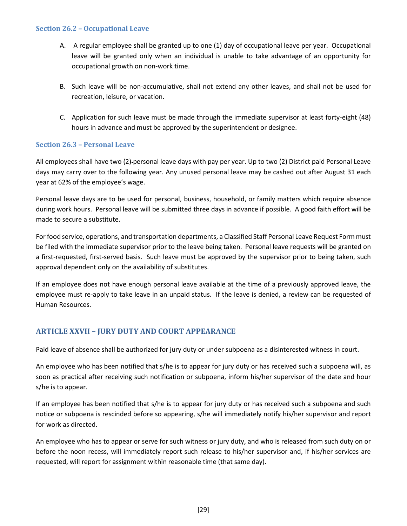#### <span id="page-37-0"></span>**Section 26.2 – Occupational Leave**

- A. A regular employee shall be granted up to one (1) day of occupational leave per year. Occupational leave will be granted only when an individual is unable to take advantage of an opportunity for occupational growth on non-work time.
- B. Such leave will be non-accumulative, shall not extend any other leaves, and shall not be used for recreation, leisure, or vacation.
- C. Application for such leave must be made through the immediate supervisor at least forty-eight (48) hours in advance and must be approved by the superintendent or designee.

#### <span id="page-37-1"></span>**Section 26.3 – Personal Leave**

All employees shall have two (2) personal leave days with pay per year. Up to two (2) District paid Personal Leave days may carry over to the following year. Any unused personal leave may be cashed out after August 31 each year at 62% of the employee's wage.

Personal leave days are to be used for personal, business, household, or family matters which require absence during work hours. Personal leave will be submitted three days in advance if possible. A good faith effort will be made to secure a substitute.

For food service, operations, and transportation departments, a Classified Staff Personal Leave Request Form must be filed with the immediate supervisor prior to the leave being taken. Personal leave requests will be granted on a first-requested, first-served basis. Such leave must be approved by the supervisor prior to being taken, such approval dependent only on the availability of substitutes.

If an employee does not have enough personal leave available at the time of a previously approved leave, the employee must re-apply to take leave in an unpaid status. If the leave is denied, a review can be requested of Human Resources.

### <span id="page-37-2"></span>**ARTICLE XXVII – JURY DUTY AND COURT APPEARANCE**

Paid leave of absence shall be authorized for jury duty or under subpoena as a disinterested witness in court.

An employee who has been notified that s/he is to appear for jury duty or has received such a subpoena will, as soon as practical after receiving such notification or subpoena, inform his/her supervisor of the date and hour s/he is to appear.

If an employee has been notified that s/he is to appear for jury duty or has received such a subpoena and such notice or subpoena is rescinded before so appearing, s/he will immediately notify his/her supervisor and report for work as directed.

An employee who has to appear or serve for such witness or jury duty, and who is released from such duty on or before the noon recess, will immediately report such release to his/her supervisor and, if his/her services are requested, will report for assignment within reasonable time (that same day).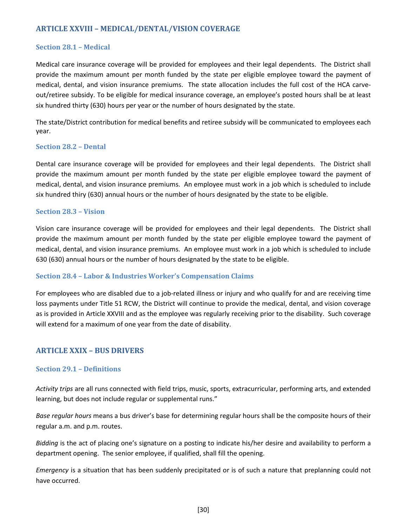### <span id="page-38-0"></span>**ARTICLE XXVIII – MEDICAL/DENTAL/VISION COVERAGE**

#### <span id="page-38-1"></span>**Section 28.1 – Medical**

Medical care insurance coverage will be provided for employees and their legal dependents. The District shall provide the maximum amount per month funded by the state per eligible employee toward the payment of medical, dental, and vision insurance premiums. The state allocation includes the full cost of the HCA carveout/retiree subsidy. To be eligible for medical insurance coverage, an employee's posted hours shall be at least six hundred thirty (630) hours per year or the number of hours designated by the state.

The state/District contribution for medical benefits and retiree subsidy will be communicated to employees each year.

#### <span id="page-38-2"></span>**Section 28.2 – Dental**

Dental care insurance coverage will be provided for employees and their legal dependents. The District shall provide the maximum amount per month funded by the state per eligible employee toward the payment of medical, dental, and vision insurance premiums. An employee must work in a job which is scheduled to include six hundred thiry (630) annual hours or the number of hours designated by the state to be eligible.

#### <span id="page-38-3"></span>**Section 28.3 – Vision**

Vision care insurance coverage will be provided for employees and their legal dependents. The District shall provide the maximum amount per month funded by the state per eligible employee toward the payment of medical, dental, and vision insurance premiums. An employee must work in a job which is scheduled to include 630 (630) annual hours or the number of hours designated by the state to be eligible.

#### <span id="page-38-4"></span>**Section 28.4 – Labor & Industries Worker's Compensation Claims**

For employees who are disabled due to a job-related illness or injury and who qualify for and are receiving time loss payments under Title 51 RCW, the District will continue to provide the medical, dental, and vision coverage as is provided in Article XXVIII and as the employee was regularly receiving prior to the disability. Such coverage will extend for a maximum of one year from the date of disability.

#### <span id="page-38-5"></span>**ARTICLE XXIX – BUS DRIVERS**

#### <span id="page-38-6"></span>**Section 29.1 – Definitions**

*Activity trips* are all runs connected with field trips, music, sports, extracurricular, performing arts, and extended learning, but does not include regular or supplemental runs."

*Base regular hours* means a bus driver's base for determining regular hours shall be the composite hours of their regular a.m. and p.m. routes.

*Bidding* is the act of placing one's signature on a posting to indicate his/her desire and availability to perform a department opening. The senior employee, if qualified, shall fill the opening.

*Emergency* is a situation that has been suddenly precipitated or is of such a nature that preplanning could not have occurred.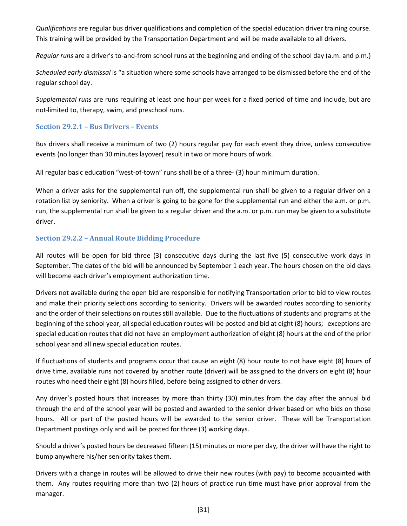*Qualifications* are regular bus driver qualifications and completion of the special education driver training course. This training will be provided by the Transportation Department and will be made available to all drivers.

*Regular runs* are a driver's to-and-from school runs at the beginning and ending of the school day (a.m. and p.m.)

*Scheduled early dismissal* is "a situation where some schools have arranged to be dismissed before the end of the regular school day.

*Supplemental runs* are runs requiring at least one hour per week for a fixed period of time and include, but are not limited to, therapy, swim, and preschool runs.

#### <span id="page-39-0"></span>**Section 29.2.1 – Bus Drivers – Events**

Bus drivers shall receive a minimum of two (2) hours regular pay for each event they drive, unless consecutive events (no longer than 30 minutes layover) result in two or more hours of work.

All regular basic education "west-of-town" runs shall be of a three- (3) hour minimum duration.

When a driver asks for the supplemental run off, the supplemental run shall be given to a regular driver on a rotation list by seniority. When a driver is going to be gone for the supplemental run and either the a.m. or p.m. run, the supplemental run shall be given to a regular driver and the a.m. or p.m. run may be given to a substitute driver.

#### <span id="page-39-1"></span>**Section 29.2.2 – Annual Route Bidding Procedure**

All routes will be open for bid three (3) consecutive days during the last five (5) consecutive work days in September. The dates of the bid will be announced by September 1 each year. The hours chosen on the bid days will become each driver's employment authorization time.

Drivers not available during the open bid are responsible for notifying Transportation prior to bid to view routes and make their priority selections according to seniority. Drivers will be awarded routes according to seniority and the order of their selections on routes still available. Due to the fluctuations of students and programs at the beginning of the school year, all special education routes will be posted and bid at eight (8) hours; exceptions are special education routes that did not have an employment authorization of eight (8) hours at the end of the prior school year and all new special education routes.

If fluctuations of students and programs occur that cause an eight (8) hour route to not have eight (8) hours of drive time, available runs not covered by another route (driver) will be assigned to the drivers on eight (8) hour routes who need their eight (8) hours filled, before being assigned to other drivers.

Any driver's posted hours that increases by more than thirty (30) minutes from the day after the annual bid through the end of the school year will be posted and awarded to the senior driver based on who bids on those hours. All or part of the posted hours will be awarded to the senior driver. These will be Transportation Department postings only and will be posted for three (3) working days.

Should a driver's posted hours be decreased fifteen (15) minutes or more per day, the driver will have the right to bump anywhere his/her seniority takes them.

Drivers with a change in routes will be allowed to drive their new routes (with pay) to become acquainted with them. Any routes requiring more than two (2) hours of practice run time must have prior approval from the manager.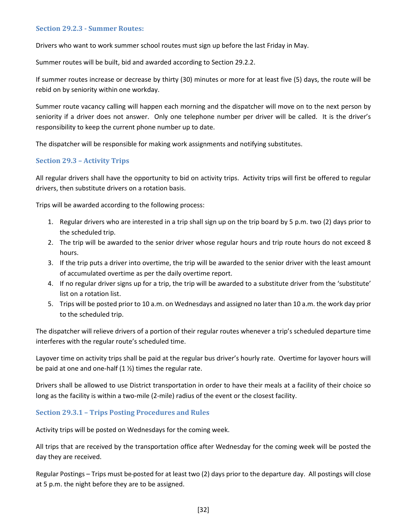#### <span id="page-40-0"></span>**Section 29.2.3 - Summer Routes:**

Drivers who want to work summer school routes must sign up before the last Friday in May.

Summer routes will be built, bid and awarded according to Section 29.2.2.

If summer routes increase or decrease by thirty (30) minutes or more for at least five (5) days, the route will be rebid on by seniority within one workday.

Summer route vacancy calling will happen each morning and the dispatcher will move on to the next person by seniority if a driver does not answer. Only one telephone number per driver will be called. It is the driver's responsibility to keep the current phone number up to date.

The dispatcher will be responsible for making work assignments and notifying substitutes.

#### <span id="page-40-1"></span>**Section 29.3 – Activity Trips**

All regular drivers shall have the opportunity to bid on activity trips. Activity trips will first be offered to regular drivers, then substitute drivers on a rotation basis.

Trips will be awarded according to the following process:

- 1. Regular drivers who are interested in a trip shall sign up on the trip board by 5 p.m. two (2) days prior to the scheduled trip.
- 2. The trip will be awarded to the senior driver whose regular hours and trip route hours do not exceed 8 hours.
- 3. If the trip puts a driver into overtime, the trip will be awarded to the senior driver with the least amount of accumulated overtime as per the daily overtime report.
- 4. If no regular driver signs up for a trip, the trip will be awarded to a substitute driver from the 'substitute' list on a rotation list.
- 5. Trips will be posted prior to 10 a.m. on Wednesdays and assigned no later than 10 a.m. the work day prior to the scheduled trip.

The dispatcher will relieve drivers of a portion of their regular routes whenever a trip's scheduled departure time interferes with the regular route's scheduled time.

Layover time on activity trips shall be paid at the regular bus driver's hourly rate. Overtime for layover hours will be paid at one and one-half  $(1 \frac{1}{2})$  times the regular rate.

Drivers shall be allowed to use District transportation in order to have their meals at a facility of their choice so long as the facility is within a two-mile (2-mile) radius of the event or the closest facility.

#### <span id="page-40-2"></span>**Section 29.3.1 – Trips Posting Procedures and Rules**

Activity trips will be posted on Wednesdays for the coming week.

All trips that are received by the transportation office after Wednesday for the coming week will be posted the day they are received.

Regular Postings – Trips must be posted for at least two (2) days prior to the departure day. All postings will close at 5 p.m. the night before they are to be assigned.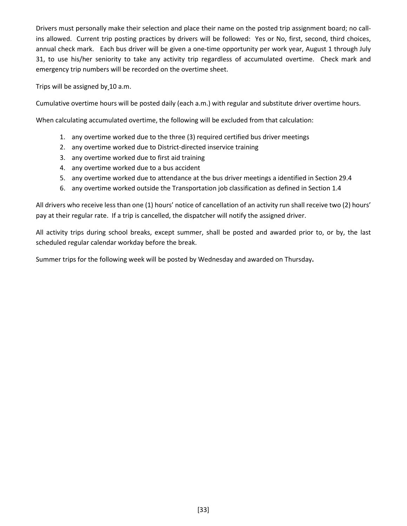Drivers must personally make their selection and place their name on the posted trip assignment board; no callins allowed. Current trip posting practices by drivers will be followed: Yes or No, first, second, third choices, annual check mark. Each bus driver will be given a one-time opportunity per work year, August 1 through July 31, to use his/her seniority to take any activity trip regardless of accumulated overtime. Check mark and emergency trip numbers will be recorded on the overtime sheet.

Trips will be assigned by 10 a.m.

Cumulative overtime hours will be posted daily (each a.m.) with regular and substitute driver overtime hours.

When calculating accumulated overtime, the following will be excluded from that calculation:

- 1. any overtime worked due to the three (3) required certified bus driver meetings
- 2. any overtime worked due to District-directed inservice training
- 3. any overtime worked due to first aid training
- 4. any overtime worked due to a bus accident
- 5. any overtime worked due to attendance at the bus driver meetings a identified in Section 29.4
- 6. any overtime worked outside the Transportation job classification as defined in Section 1.4

All drivers who receive less than one (1) hours' notice of cancellation of an activity run shall receive two (2) hours' pay at their regular rate. If a trip is cancelled, the dispatcher will notify the assigned driver.

All activity trips during school breaks, except summer, shall be posted and awarded prior to, or by, the last scheduled regular calendar workday before the break.

Summer trips for the following week will be posted by Wednesday and awarded on Thursday**.**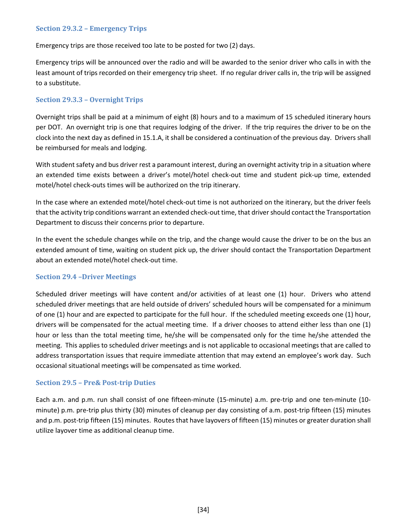#### <span id="page-42-0"></span>**Section 29.3.2 – Emergency Trips**

Emergency trips are those received too late to be posted for two (2) days.

Emergency trips will be announced over the radio and will be awarded to the senior driver who calls in with the least amount of trips recorded on their emergency trip sheet. If no regular driver calls in, the trip will be assigned to a substitute.

#### <span id="page-42-1"></span>**Section 29.3.3 – Overnight Trips**

Overnight trips shall be paid at a minimum of eight (8) hours and to a maximum of 15 scheduled itinerary hours per DOT. An overnight trip is one that requires lodging of the driver. If the trip requires the driver to be on the clock into the next day as defined in 15.1.A, it shall be considered a continuation of the previous day. Drivers shall be reimbursed for meals and lodging.

With student safety and bus driver rest a paramount interest, during an overnight activity trip in a situation where an extended time exists between a driver's motel/hotel check-out time and student pick-up time, extended motel/hotel check-outs times will be authorized on the trip itinerary.

In the case where an extended motel/hotel check-out time is not authorized on the itinerary, but the driver feels that the activity trip conditions warrant an extended check-out time, that driver should contact the Transportation Department to discuss their concerns prior to departure.

In the event the schedule changes while on the trip, and the change would cause the driver to be on the bus an extended amount of time, waiting on student pick up, the driver should contact the Transportation Department about an extended motel/hotel check-out time.

#### <span id="page-42-2"></span>**Section 29.4 –Driver Meetings**

Scheduled driver meetings will have content and/or activities of at least one (1) hour. Drivers who attend scheduled driver meetings that are held outside of drivers' scheduled hours will be compensated for a minimum of one (1) hour and are expected to participate for the full hour. If the scheduled meeting exceeds one (1) hour, drivers will be compensated for the actual meeting time. If a driver chooses to attend either less than one (1) hour or less than the total meeting time, he/she will be compensated only for the time he/she attended the meeting. This applies to scheduled driver meetings and is not applicable to occasional meetings that are called to address transportation issues that require immediate attention that may extend an employee's work day. Such occasional situational meetings will be compensated as time worked.

#### <span id="page-42-3"></span>**Section 29.5 – Pre& Post-trip Duties**

Each a.m. and p.m. run shall consist of one fifteen-minute (15-minute) a.m. pre-trip and one ten-minute (10 minute) p.m. pre-trip plus thirty (30) minutes of cleanup per day consisting of a.m. post-trip fifteen (15) minutes and p.m. post-trip fifteen (15) minutes. Routes that have layovers of fifteen (15) minutes or greater duration shall utilize layover time as additional cleanup time.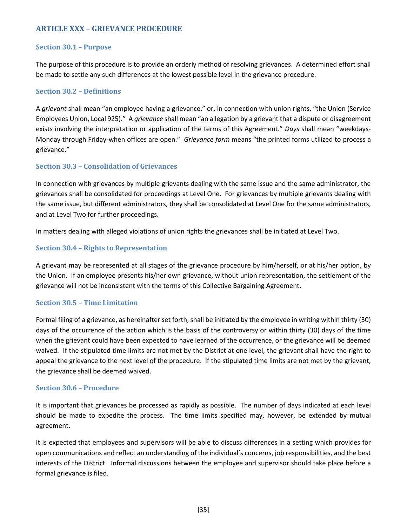### <span id="page-43-0"></span>**ARTICLE XXX – GRIEVANCE PROCEDURE**

#### <span id="page-43-1"></span>**Section 30.1 – Purpose**

The purpose of this procedure is to provide an orderly method of resolving grievances. A determined effort shall be made to settle any such differences at the lowest possible level in the grievance procedure.

#### <span id="page-43-2"></span>**Section 30.2 – Definitions**

A *grievant* shall mean "an employee having a grievance," or, in connection with union rights, "the Union (Service Employees Union, Local 925)." A *grievance* shall mean "an allegation by a grievant that a dispute or disagreement exists involving the interpretation or application of the terms of this Agreement." *Days* shall mean "weekdays-Monday through Friday-when offices are open." *Grievance form* means "the printed forms utilized to process a grievance."

#### <span id="page-43-3"></span>**Section 30.3 – Consolidation of Grievances**

In connection with grievances by multiple grievants dealing with the same issue and the same administrator, the grievances shall be consolidated for proceedings at Level One. For grievances by multiple grievants dealing with the same issue, but different administrators, they shall be consolidated at Level One for the same administrators, and at Level Two for further proceedings.

In matters dealing with alleged violations of union rights the grievances shall be initiated at Level Two.

#### <span id="page-43-4"></span>**Section 30.4 – Rights to Representation**

A grievant may be represented at all stages of the grievance procedure by him/herself, or at his/her option, by the Union. If an employee presents his/her own grievance, without union representation, the settlement of the grievance will not be inconsistent with the terms of this Collective Bargaining Agreement.

#### <span id="page-43-5"></span>**Section 30.5 – Time Limitation**

Formal filing of a grievance, as hereinafter set forth, shall be initiated by the employee in writing within thirty (30) days of the occurrence of the action which is the basis of the controversy or within thirty (30) days of the time when the grievant could have been expected to have learned of the occurrence, or the grievance will be deemed waived. If the stipulated time limits are not met by the District at one level, the grievant shall have the right to appeal the grievance to the next level of the procedure. If the stipulated time limits are not met by the grievant, the grievance shall be deemed waived.

#### <span id="page-43-6"></span>**Section 30.6 – Procedure**

It is important that grievances be processed as rapidly as possible. The number of days indicated at each level should be made to expedite the process. The time limits specified may, however, be extended by mutual agreement.

It is expected that employees and supervisors will be able to discuss differences in a setting which provides for open communications and reflect an understanding of the individual's concerns, job responsibilities, and the best interests of the District. Informal discussions between the employee and supervisor should take place before a formal grievance is filed.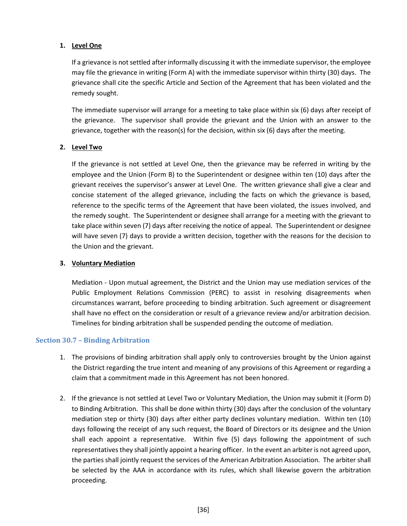#### **1. Level One**

If a grievance is not settled after informally discussing it with the immediate supervisor, the employee may file the grievance in writing (Form A) with the immediate supervisor within thirty (30) days. The grievance shall cite the specific Article and Section of the Agreement that has been violated and the remedy sought.

The immediate supervisor will arrange for a meeting to take place within six (6) days after receipt of the grievance. The supervisor shall provide the grievant and the Union with an answer to the grievance, together with the reason(s) for the decision, within six (6) days after the meeting.

#### **2. Level Two**

If the grievance is not settled at Level One, then the grievance may be referred in writing by the employee and the Union (Form B) to the Superintendent or designee within ten (10) days after the grievant receives the supervisor's answer at Level One. The written grievance shall give a clear and concise statement of the alleged grievance, including the facts on which the grievance is based, reference to the specific terms of the Agreement that have been violated, the issues involved, and the remedy sought. The Superintendent or designee shall arrange for a meeting with the grievant to take place within seven (7) days after receiving the notice of appeal. The Superintendent or designee will have seven (7) days to provide a written decision, together with the reasons for the decision to the Union and the grievant.

#### **3. Voluntary Mediation**

Mediation - Upon mutual agreement, the District and the Union may use mediation services of the Public Employment Relations Commission (PERC) to assist in resolving disagreements when circumstances warrant, before proceeding to binding arbitration. Such agreement or disagreement shall have no effect on the consideration or result of a grievance review and/or arbitration decision. Timelines for binding arbitration shall be suspended pending the outcome of mediation.

#### <span id="page-44-0"></span>**Section 30.7 – Binding Arbitration**

- 1. The provisions of binding arbitration shall apply only to controversies brought by the Union against the District regarding the true intent and meaning of any provisions of this Agreement or regarding a claim that a commitment made in this Agreement has not been honored.
- 2. If the grievance is not settled at Level Two or Voluntary Mediation, the Union may submit it (Form D) to Binding Arbitration. This shall be done within thirty (30) days after the conclusion of the voluntary mediation step or thirty (30) days after either party declines voluntary mediation. Within ten (10) days following the receipt of any such request, the Board of Directors or its designee and the Union shall each appoint a representative. Within five (5) days following the appointment of such representatives they shall jointly appoint a hearing officer. In the event an arbiter is not agreed upon, the parties shall jointly request the services of the American Arbitration Association. The arbiter shall be selected by the AAA in accordance with its rules, which shall likewise govern the arbitration proceeding.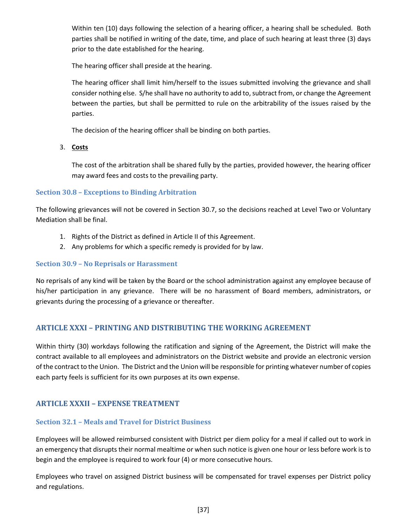Within ten (10) days following the selection of a hearing officer, a hearing shall be scheduled. Both parties shall be notified in writing of the date, time, and place of such hearing at least three (3) days prior to the date established for the hearing.

The hearing officer shall preside at the hearing.

The hearing officer shall limit him/herself to the issues submitted involving the grievance and shall consider nothing else. S/he shall have no authority to add to, subtract from, or change the Agreement between the parties, but shall be permitted to rule on the arbitrability of the issues raised by the parties.

The decision of the hearing officer shall be binding on both parties.

3. **Costs**

The cost of the arbitration shall be shared fully by the parties, provided however, the hearing officer may award fees and costs to the prevailing party.

#### <span id="page-45-0"></span>**Section 30.8 – Exceptions to Binding Arbitration**

The following grievances will not be covered in Section 30.7, so the decisions reached at Level Two or Voluntary Mediation shall be final.

- 1. Rights of the District as defined in Article II of this Agreement.
- 2. Any problems for which a specific remedy is provided for by law.

#### <span id="page-45-1"></span>**Section 30.9 – No Reprisals or Harassment**

No reprisals of any kind will be taken by the Board or the school administration against any employee because of his/her participation in any grievance. There will be no harassment of Board members, administrators, or grievants during the processing of a grievance or thereafter.

### <span id="page-45-2"></span>**ARTICLE XXXI – PRINTING AND DISTRIBUTING THE WORKING AGREEMENT**

Within thirty (30) workdays following the ratification and signing of the Agreement, the District will make the contract available to all employees and administrators on the District website and provide an electronic version of the contract to the Union. The District and the Union will be responsible for printing whatever number of copies each party feels is sufficient for its own purposes at its own expense.

### <span id="page-45-3"></span>**ARTICLE XXXII – EXPENSE TREATMENT**

### <span id="page-45-4"></span>**Section 32.1 – Meals and Travel for District Business**

Employees will be allowed reimbursed consistent with District per diem policy for a meal if called out to work in an emergency that disrupts their normal mealtime or when such notice is given one hour or less before work is to begin and the employee is required to work four (4) or more consecutive hours.

Employees who travel on assigned District business will be compensated for travel expenses per District policy and regulations.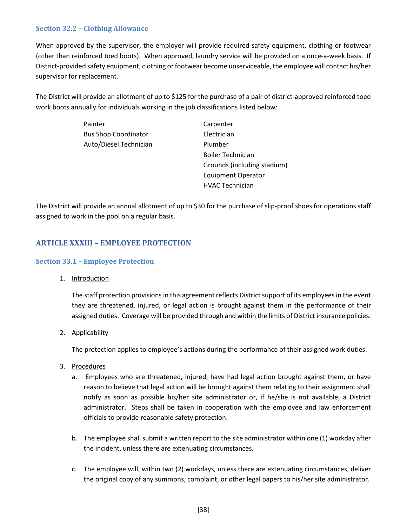#### <span id="page-46-0"></span>**Section 32.2 – Clothing Allowance**

When approved by the supervisor, the employer will provide required safety equipment, clothing or footwear (other than reinforced toed boots). When approved, laundry service will be provided on a once-a-week basis. If District-provided safety equipment, clothing or footwear become unserviceable, the employee will contact his/her supervisor for replacement.

The District will provide an allotment of up to \$125 for the purchase of a pair of district-approved reinforced toed work boots annually for individuals working in the job classifications listed below:

| Painter                     | Carpenter                   |
|-----------------------------|-----------------------------|
| <b>Bus Shop Coordinator</b> | Electrician                 |
| Auto/Diesel Technician      | Plumber                     |
|                             | <b>Boiler Technician</b>    |
|                             | Grounds (including stadium) |
|                             | Equipment Operator          |
|                             | <b>HVAC Technician</b>      |

The District will provide an annual allotment of up to \$30 for the purchase of slip-proof shoes for operations staff assigned to work in the pool on a regular basis.

### <span id="page-46-1"></span>**ARTICLE XXXIII – EMPLOYEE PROTECTION**

#### <span id="page-46-2"></span>**Section 33.1 – Employee Protection**

1. Introduction

The staff protection provisions in this agreement reflects District support of its employees in the event they are threatened, injured, or legal action is brought against them in the performance of their assigned duties. Coverage will be provided through and within the limits of District insurance policies.

2. Applicability

The protection applies to employee's actions during the performance of their assigned work duties.

- 3. Procedures
	- a. Employees who are threatened, injured, have had legal action brought against them, or have reason to believe that legal action will be brought against them relating to their assignment shall notify as soon as possible his/her site administrator or, if he/she is not available, a District administrator. Steps shall be taken in cooperation with the employee and law enforcement officials to provide reasonable safety protection.
	- b. The employee shall submit a written report to the site administrator within one (1) workday after the incident, unless there are extenuating circumstances.
	- c. The employee will, within two (2) workdays, unless there are extenuating circumstances, deliver the original copy of any summons, complaint, or other legal papers to his/her site administrator.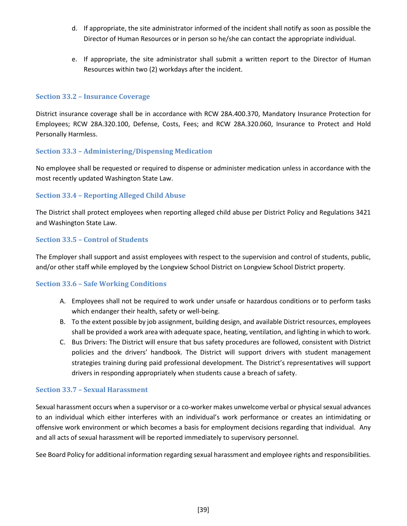- d. If appropriate, the site administrator informed of the incident shall notify as soon as possible the Director of Human Resources or in person so he/she can contact the appropriate individual.
- e. If appropriate, the site administrator shall submit a written report to the Director of Human Resources within two (2) workdays after the incident.

#### <span id="page-47-0"></span>**Section 33.2 – Insurance Coverage**

District insurance coverage shall be in accordance with RCW 28A.400.370, Mandatory Insurance Protection for Employees; RCW 28A.320.100, Defense, Costs, Fees; and RCW 28A.320.060, Insurance to Protect and Hold Personally Harmless.

#### <span id="page-47-1"></span>**Section 33.3 – Administering/Dispensing Medication**

No employee shall be requested or required to dispense or administer medication unless in accordance with the most recently updated Washington State Law.

#### <span id="page-47-2"></span>**Section 33.4 – Reporting Alleged Child Abuse**

The District shall protect employees when reporting alleged child abuse per District Policy and Regulations 3421 and Washington State Law.

#### <span id="page-47-3"></span>**Section 33.5 – Control of Students**

The Employer shall support and assist employees with respect to the supervision and control of students, public, and/or other staff while employed by the Longview School District on Longview School District property.

#### <span id="page-47-4"></span>**Section 33.6 – Safe Working Conditions**

- A. Employees shall not be required to work under unsafe or hazardous conditions or to perform tasks which endanger their health, safety or well-being.
- B. To the extent possible by job assignment, building design, and available District resources, employees shall be provided a work area with adequate space, heating, ventilation, and lighting in which to work.
- C. Bus Drivers: The District will ensure that bus safety procedures are followed, consistent with District policies and the drivers' handbook. The District will support drivers with student management strategies training during paid professional development. The District's representatives will support drivers in responding appropriately when students cause a breach of safety.

#### <span id="page-47-5"></span>**Section 33.7 – Sexual Harassment**

Sexual harassment occurs when a supervisor or a co-worker makes unwelcome verbal or physical sexual advances to an individual which either interferes with an individual's work performance or creates an intimidating or offensive work environment or which becomes a basis for employment decisions regarding that individual. Any and all acts of sexual harassment will be reported immediately to supervisory personnel.

See Board Policy for additional information regarding sexual harassment and employee rights and responsibilities.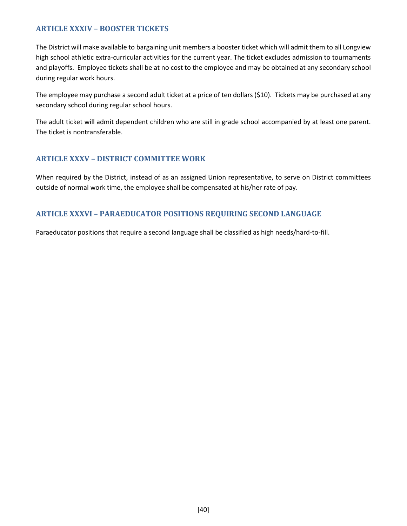### <span id="page-48-0"></span>**ARTICLE XXXIV – BOOSTER TICKETS**

The District will make available to bargaining unit members a booster ticket which will admit them to all Longview high school athletic extra-curricular activities for the current year. The ticket excludes admission to tournaments and playoffs. Employee tickets shall be at no cost to the employee and may be obtained at any secondary school during regular work hours.

The employee may purchase a second adult ticket at a price of ten dollars (\$10). Tickets may be purchased at any secondary school during regular school hours.

The adult ticket will admit dependent children who are still in grade school accompanied by at least one parent. The ticket is nontransferable.

### <span id="page-48-1"></span>**ARTICLE XXXV – DISTRICT COMMITTEE WORK**

When required by the District, instead of as an assigned Union representative, to serve on District committees outside of normal work time, the employee shall be compensated at his/her rate of pay.

### <span id="page-48-2"></span>**ARTICLE XXXVI – PARAEDUCATOR POSITIONS REQUIRING SECOND LANGUAGE**

Paraeducator positions that require a second language shall be classified as high needs/hard-to-fill.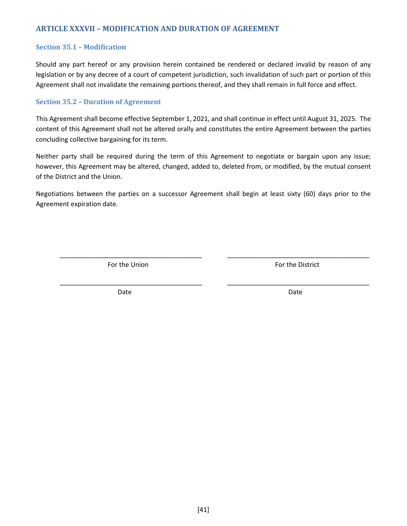### <span id="page-49-0"></span>**ARTICLE XXXVII – MODIFICATION AND DURATION OF AGREEMENT**

#### <span id="page-49-1"></span>**Section 35.1 – Modification**

Should any part hereof or any provision herein contained be rendered or declared invalid by reason of any legislation or by any decree of a court of competent jurisdiction, such invalidation of such part or portion of this Agreement shall not invalidate the remaining portions thereof, and they shall remain in full force and effect.

#### <span id="page-49-2"></span>**Section 35.2 – Duration of Agreement**

This Agreement shall become effective September 1, 2021, and shall continue in effect until August 31, 2025. The content of this Agreement shall not be altered orally and constitutes the entire Agreement between the parties concluding collective bargaining for its term.

Neither party shall be required during the term of this Agreement to negotiate or bargain upon any issue; however, this Agreement may be altered, changed, added to, deleted from, or modified, by the mutual consent of the District and the Union.

Negotiations between the parties on a successor Agreement shall begin at least sixty (60) days prior to the Agreement expiration date.

\_\_\_\_\_\_\_\_\_\_\_\_\_\_\_\_\_\_\_\_\_\_\_\_\_\_\_\_\_\_\_\_\_\_\_\_\_\_\_ \_\_\_\_\_\_\_\_\_\_\_\_\_\_\_\_\_\_\_\_\_\_\_\_\_\_\_\_\_\_\_\_\_\_\_\_\_\_\_

\_\_\_\_\_\_\_\_\_\_\_\_\_\_\_\_\_\_\_\_\_\_\_\_\_\_\_\_\_\_\_\_\_\_\_\_\_\_\_ \_\_\_\_\_\_\_\_\_\_\_\_\_\_\_\_\_\_\_\_\_\_\_\_\_\_\_\_\_\_\_\_\_\_\_\_\_\_\_

For the Union For the District

Date **Date** Date **Date** Date **Date** Date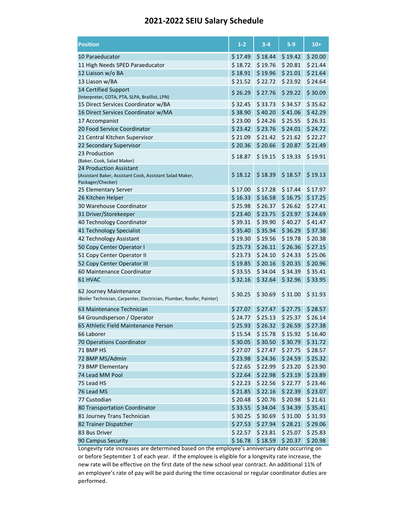### **2021-2022 SEIU Salary Schedule**

| <b>Position</b>                                                               | $1-2$   | $3-4$   | $5-9$   | $10+$   |
|-------------------------------------------------------------------------------|---------|---------|---------|---------|
| 10 Paraeducator                                                               | \$17.49 | \$18.44 | \$19.42 | \$20.00 |
| 11 High Needs SPED Paraeducator                                               | \$18.72 | \$19.76 | \$20.81 | \$21.44 |
| 12 Liaison w/o BA                                                             | \$18.91 | \$19.96 | \$21.01 | \$21.64 |
| 13 Liason w/BA                                                                | \$21.52 | \$22.72 | \$23.92 | \$24.64 |
| 14 Certified Support                                                          |         |         |         |         |
| (Interpreter, COTA, PTA, SLPA, Braillist, LPN)                                | \$26.29 | \$27.76 | \$29.22 | \$30.09 |
| 15 Direct Services Coordinator w/BA                                           | \$32.45 | \$33.73 | \$34.57 | \$35.62 |
| 16 Direct Services Coordinator w/MA                                           | \$38.90 | \$40.20 | \$41.06 | \$42.29 |
| 17 Accompanist                                                                | \$23.00 | \$24.26 | \$25.55 | \$26.31 |
| 20 Food Service Coordinator                                                   | \$23.42 | \$23.76 | \$24.01 | \$24.72 |
| 21 Central Kitchen Supervisor                                                 | \$21.09 | \$21.42 | \$21.62 | \$22.27 |
| 22 Secondary Supervisor                                                       | \$20.36 | \$20.66 | \$20.87 | \$21.49 |
| 23 Production                                                                 |         |         |         |         |
| (Baker, Cook, Salad Maker)                                                    | \$18.87 | \$19.15 | \$19.33 | \$19.91 |
| 24 Production Assistant                                                       |         |         |         |         |
| (Assistant Baker, Assistant Cook, Assistant Salad Maker,<br>Packager/Checker) | \$18.12 | \$18.39 | \$18.57 | \$19.13 |
| 25 Elementary Server                                                          | \$17.00 | \$17.28 | \$17.44 | \$17.97 |
| 26 Kitchen Helper                                                             | \$16.33 | \$16.58 | \$16.75 | \$17.25 |
| 30 Warehouse Coordinator                                                      | \$25.98 | \$26.37 | \$26.62 | \$27.41 |
| 31 Driver/Storekeeper                                                         | \$23.40 | \$23.75 | \$23.97 | \$24.69 |
| 40 Technology Coordinator                                                     | \$39.31 | \$39.90 | \$40.27 | \$41.47 |
| 41 Technology Specialist                                                      | \$35.40 | \$35.94 | \$36.29 | \$37.38 |
| 42 Technology Assistant                                                       | \$19.30 | \$19.56 | \$19.78 | \$20.38 |
| 50 Copy Center Operator I                                                     | \$25.73 | \$26.11 | \$26.36 | \$27.15 |
| 51 Copy Center Operator II                                                    | \$23.73 | \$24.10 | \$24.33 | \$25.06 |
| 52 Copy Center Operator III                                                   | \$19.85 | \$20.16 | \$20.35 | \$20.96 |
| 60 Maintenance Coordinator                                                    | \$33.55 | \$34.04 | \$34.39 | \$35.41 |
| 61 HVAC                                                                       | \$32.16 | \$32.64 | \$32.96 | \$33.95 |
| 62 Journey Maintenance                                                        |         |         |         |         |
| (Boiler Technician, Carpenter, Electrician, Plumber, Roofer, Painter)         | \$30.25 | \$30.69 | \$31.00 | \$31.93 |
| 63 Maintenance Technician                                                     | \$27.07 | \$27.47 | \$27.75 | \$28.57 |
| 64 Groundsperson / Operator                                                   | \$24.77 | \$25.13 | \$25.37 | \$26.14 |
| 65 Athletic Field Maintenance Person                                          | \$25.93 | \$26.32 | \$26.59 | \$27.38 |
| 66 Laborer                                                                    | \$15.54 | \$15.78 | \$15.92 | \$16.40 |
| 70 Operations Coordinator                                                     | \$30.05 | \$30.50 | \$30.79 | \$31.72 |
| 71 BMP HS                                                                     | \$27.07 | \$27.47 | \$27.75 | \$28.57 |
| 72 BMP MS/Admin                                                               | \$23.98 | \$24.36 | \$24.59 | \$25.32 |
| 73 BMP Elementary                                                             | \$22.65 | \$22.99 | \$23.20 | \$23.90 |
| 74 Lead MM Pool                                                               | \$22.64 | \$22.98 | \$23.19 | \$23.89 |
| 75 Lead HS                                                                    | \$22.23 | \$22.56 | \$22.77 | \$23.46 |
| 76 Lead MS                                                                    | \$21.85 | \$22.16 | \$22.39 | \$23.07 |
| 77 Custodian                                                                  | \$20.48 | \$20.76 | \$20.98 | \$21.61 |
| 80 Transportation Coordinator                                                 | \$33.55 | \$34.04 | \$34.39 | \$35.41 |
| 81 Journey Trans Technician                                                   | \$30.25 | \$30.69 | \$31.00 | \$31.93 |
| 82 Trainer Dispatcher                                                         | \$27.53 | \$27.94 | \$28.21 | \$29.06 |
| 83 Bus Driver                                                                 | \$22.57 | \$23.81 | \$25.07 | \$25.83 |
| 90 Campus Security                                                            | \$16.78 | \$18.59 | \$20.37 | \$20.98 |

Longevity rate increases are determined based on the employee's anniversary date occurring on or before September 1 of each year. If the employee is eligible for a longevity rate increase, the new rate will be effective on the first date of the new school year contract. An additional 11% of an employee's rate of pay will be paid during the time occasional or regular coordinator duties are performed.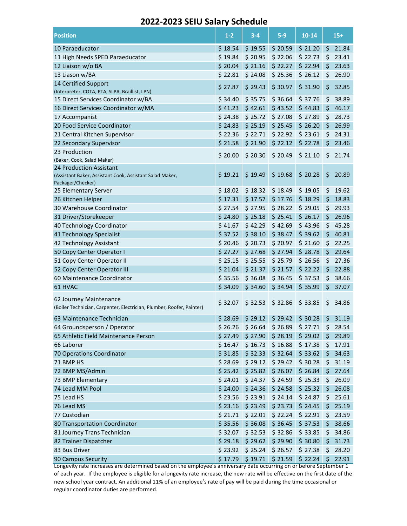### **2022-2023 SEIU Salary Schedule**

| <b>Position</b>                                                                                 | $1 - 2$ | $3 - 4$ | $5-9$             | $10 - 14$ |         | $15+$ |
|-------------------------------------------------------------------------------------------------|---------|---------|-------------------|-----------|---------|-------|
| 10 Paraeducator                                                                                 | \$18.54 | \$19.55 | \$20.59           | \$21.20   | $\zeta$ | 21.84 |
| 11 High Needs SPED Paraeducator                                                                 | \$19.84 | \$20.95 | \$22.06           | \$22.73   | \$      | 23.41 |
| 12 Liaison w/o BA                                                                               | \$20.04 | \$21.16 | \$22.27           | \$22.94   | \$      | 23.63 |
| 13 Liason w/BA                                                                                  | \$22.81 | \$24.08 | \$25.36           | \$26.12   | \$      | 26.90 |
| 14 Certified Support                                                                            |         |         |                   |           |         |       |
| (Interpreter, COTA, PTA, SLPA, Braillist, LPN)                                                  | \$27.87 | \$29.43 | \$30.97           | \$31.90   | \$      | 32.85 |
| 15 Direct Services Coordinator w/BA                                                             | \$34.40 | \$35.75 | \$36.64           | \$37.76   | \$      | 38.89 |
| 16 Direct Services Coordinator w/MA                                                             | \$41.23 | \$42.61 | \$43.52           | \$44.83   | \$      | 46.17 |
| 17 Accompanist                                                                                  | \$24.38 | \$25.72 | \$27.08           | \$27.89   | \$      | 28.73 |
| 20 Food Service Coordinator                                                                     | \$24.83 | \$25.19 | \$25.45           | \$26.20   | \$      | 26.99 |
| 21 Central Kitchen Supervisor                                                                   | \$22.36 | \$22.71 | \$22.92           | \$23.61   | \$      | 24.31 |
| 22 Secondary Supervisor                                                                         | \$21.58 | \$21.90 | \$22.12           | \$22.78   | \$      | 23.46 |
| 23 Production                                                                                   | \$20.00 | \$20.30 | \$20.49           | \$21.10   | \$      | 21.74 |
| (Baker, Cook, Salad Maker)                                                                      |         |         |                   |           |         |       |
| 24 Production Assistant                                                                         |         |         |                   |           |         |       |
| (Assistant Baker, Assistant Cook, Assistant Salad Maker,<br>Packager/Checker)                   | \$19.21 | \$19.49 | \$19.68           | \$20.28   | \$      | 20.89 |
| 25 Elementary Server                                                                            | \$18.02 | \$18.32 | \$18.49           | \$19.05   | \$      | 19.62 |
| 26 Kitchen Helper                                                                               | \$17.31 | \$17.57 | \$17.76           | \$18.29   | \$      | 18.83 |
| 30 Warehouse Coordinator                                                                        | \$27.54 | \$27.95 | \$28.22           | \$29.05   | \$      | 29.93 |
| 31 Driver/Storekeeper                                                                           | \$24.80 | \$25.18 | \$25.41           | \$26.17   | \$      | 26.96 |
| 40 Technology Coordinator                                                                       | \$41.67 | \$42.29 | \$42.69           | \$43.96   | \$      | 45.28 |
| 41 Technology Specialist                                                                        | \$37.52 | \$38.10 | \$38.47           | \$39.62   | \$      | 40.81 |
| 42 Technology Assistant                                                                         | \$20.46 | \$20.73 | \$20.97           | \$21.60   | \$      | 22.25 |
| 50 Copy Center Operator I                                                                       | \$27.27 | \$27.68 | \$27.94           | \$28.78   | \$      | 29.64 |
| 51 Copy Center Operator II                                                                      | \$25.15 | \$25.55 | \$25.79           | \$26.56   | \$      | 27.36 |
| 52 Copy Center Operator III                                                                     | \$21.04 | \$21.37 | \$21.57           | \$22.22   | \$      | 22.88 |
| 60 Maintenance Coordinator                                                                      | \$35.56 | \$36.08 | \$36.45           | \$37.53   | \$      | 38.66 |
| 61 HVAC                                                                                         | \$34.09 | \$34.60 | \$34.94           | \$35.99   | \$      | 37.07 |
| 62 Journey Maintenance<br>(Boiler Technician, Carpenter, Electrician, Plumber, Roofer, Painter) | \$32.07 | \$32.53 | \$32.86           | \$33.85   | \$      | 34.86 |
| 63 Maintenance Technician                                                                       | \$28.69 | \$29.12 | \$29.42           | \$30.28   | \$      | 31.19 |
| 64 Groundsperson / Operator                                                                     | \$26.26 | \$26.64 | \$26.89           | \$27.71   | \$      | 28.54 |
| 65 Athletic Field Maintenance Person                                                            | \$27.49 | \$27.90 | \$28.19           | \$29.02   | \$      | 29.89 |
| 66 Laborer                                                                                      | \$16.47 | \$16.73 | \$16.88           | \$17.38   | \$      | 17.91 |
| 70 Operations Coordinator                                                                       | \$31.85 | \$32.33 | \$32.64           | \$33.62   | \$      | 34.63 |
| 71 BMP HS                                                                                       | \$28.69 | \$29.12 | \$29.42           | \$30.28   | \$      | 31.19 |
| 72 BMP MS/Admin                                                                                 | \$25.42 | \$25.82 | \$26.07           | \$26.84   | \$      | 27.64 |
| 73 BMP Elementary                                                                               | \$24.01 | \$24.37 | \$24.59           | \$25.33   | \$      | 26.09 |
| 74 Lead MM Pool                                                                                 | \$24.00 | \$24.36 | \$24.58           | \$25.32   | \$      | 26.08 |
| 75 Lead HS                                                                                      | \$23.56 | \$23.91 | \$24.14           | \$24.87   | \$      | 25.61 |
| 76 Lead MS                                                                                      | \$23.16 | \$23.49 | \$23.73           | \$24.45   | \$      | 25.19 |
| 77 Custodian                                                                                    | \$21.71 | \$22.01 | \$22.24           | \$22.91   | \$      | 23.59 |
| 80 Transportation Coordinator                                                                   | \$35.56 | \$36.08 | \$36.45           | \$37.53   | \$      | 38.66 |
| 81 Journey Trans Technician                                                                     | \$32.07 | \$32.53 | \$32.86           | \$33.85   | \$      | 34.86 |
| 82 Trainer Dispatcher                                                                           | \$29.18 | \$29.62 | \$29.90           | \$30.80   | \$      | 31.73 |
| 83 Bus Driver                                                                                   | \$23.92 | \$25.24 | \$26.57           | \$27.38   | \$      | 28.20 |
| 90 Campus Security                                                                              | \$17.79 |         | $$19.71$ $$21.59$ | \$22.24   | -S      | 22.91 |
|                                                                                                 |         |         |                   |           |         |       |

Longevity rate increases are determined based on the employee's anniversary date occurring on or before September 1 of each year. If the employee is eligible for a longevity rate increase, the new rate will be effective on the first date of the new school year contract. An additional 11% of an employee's rate of pay will be paid during the time occasional or regular coordinator duties are performed.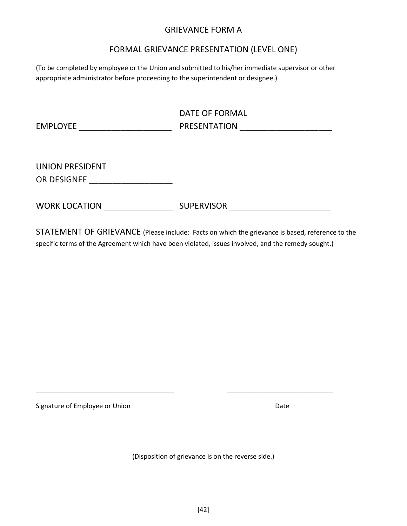### GRIEVANCE FORM A

### FORMAL GRIEVANCE PRESENTATION (LEVEL ONE)

(To be completed by employee or the Union and submitted to his/her immediate supervisor or other appropriate administrator before proceeding to the superintendent or designee.)

| <b>EMPLOYEE</b>                       | DATE OF FORMAL<br>PRESENTATION |
|---------------------------------------|--------------------------------|
| <b>UNION PRESIDENT</b><br>OR DESIGNEE |                                |
| <b>WORK LOCATION</b>                  | <b>SUPERVISOR</b>              |

STATEMENT OF GRIEVANCE (Please include: Facts on which the grievance is based, reference to the specific terms of the Agreement which have been violated, issues involved, and the remedy sought.)

Signature of Employee or Union Date Controller and Date Date

(Disposition of grievance is on the reverse side.)

\_\_\_\_\_\_\_\_\_\_\_\_\_\_\_\_\_\_\_\_\_\_\_\_\_\_\_\_\_\_\_\_\_\_\_\_\_\_ \_\_\_\_\_\_\_\_\_\_\_\_\_\_\_\_\_\_\_\_\_\_\_\_\_\_\_\_\_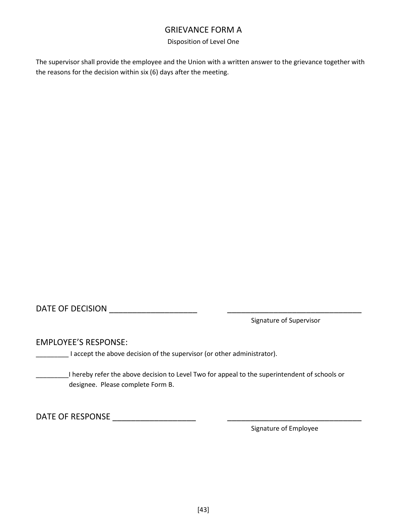### GRIEVANCE FORM A

#### Disposition of Level One

The supervisor shall provide the employee and the Union with a written answer to the grievance together with the reasons for the decision within six (6) days after the meeting.

DATE OF DECISION **DATE** 

Signature of Supervisor

EMPLOYEE'S RESPONSE:

**\_\_\_\_\_\_\_** I accept the above decision of the supervisor (or other administrator).

\_\_\_\_\_\_\_\_\_I hereby refer the above decision to Level Two for appeal to the superintendent of schools or designee. Please complete Form B.

DATE OF RESPONSE \_\_\_\_\_\_\_\_\_\_\_\_\_\_\_\_\_\_ \_\_\_\_\_\_\_\_\_\_\_\_\_\_\_\_\_\_\_\_\_\_\_\_\_\_\_\_\_

Signature of Employee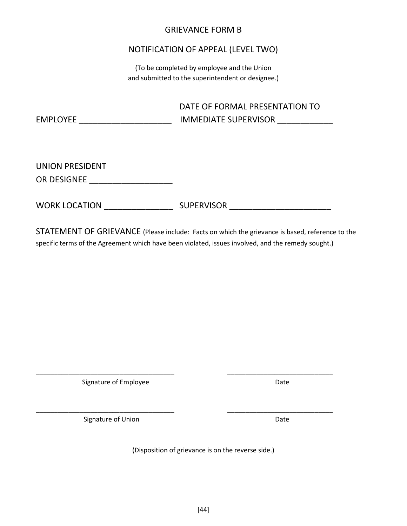### GRIEVANCE FORM B

### NOTIFICATION OF APPEAL (LEVEL TWO)

(To be completed by employee and the Union and submitted to the superintendent or designee.)

|          | DATE OF FORMAL PRESENTATION TO |
|----------|--------------------------------|
| EMPLOYEE | <b>IMMEDIATE SUPERVISOR</b>    |
|          |                                |

UNION PRESIDENT OR DESIGNEE **EXECUTE THE SET OF SECTION** 

WORK LOCATION \_\_\_\_\_\_\_\_\_\_\_\_\_\_\_ SUPERVISOR \_\_\_\_\_\_\_\_\_\_\_\_\_\_\_\_\_\_\_\_\_\_

STATEMENT OF GRIEVANCE (Please include: Facts on which the grievance is based, reference to the specific terms of the Agreement which have been violated, issues involved, and the remedy sought.)

Signature of Employee **Date** Date

Signature of Union Date

(Disposition of grievance is on the reverse side.)

\_\_\_\_\_\_\_\_\_\_\_\_\_\_\_\_\_\_\_\_\_\_\_\_\_\_\_\_\_\_\_\_\_\_\_\_\_\_ \_\_\_\_\_\_\_\_\_\_\_\_\_\_\_\_\_\_\_\_\_\_\_\_\_\_\_\_\_

\_\_\_\_\_\_\_\_\_\_\_\_\_\_\_\_\_\_\_\_\_\_\_\_\_\_\_\_\_\_\_\_\_\_\_\_\_\_ \_\_\_\_\_\_\_\_\_\_\_\_\_\_\_\_\_\_\_\_\_\_\_\_\_\_\_\_\_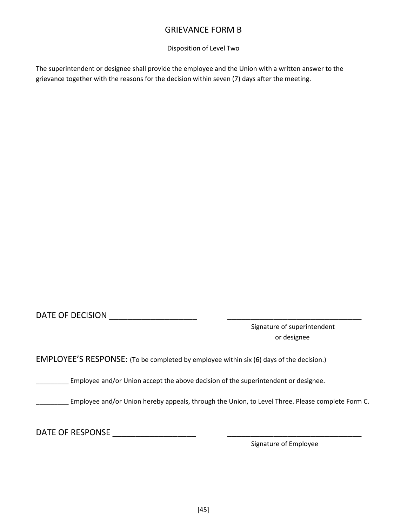### GRIEVANCE FORM B

Disposition of Level Two

The superintendent or designee shall provide the employee and the Union with a written answer to the grievance together with the reasons for the decision within seven (7) days after the meeting.

DATE OF DECISION \_\_\_\_\_\_\_\_\_\_\_\_\_\_\_\_\_\_\_ \_\_\_\_\_\_\_\_\_\_\_\_\_\_\_\_\_\_\_\_\_\_\_\_\_\_\_\_\_

Signature of superintendent or designee

EMPLOYEE'S RESPONSE: (To be completed by employee within six (6) days of the decision.)

Employee and/or Union accept the above decision of the superintendent or designee.

**\_\_\_\_\_\_\_\_** Employee and/or Union hereby appeals, through the Union, to Level Three. Please complete Form C.

DATE OF RESPONSE \_\_\_\_\_\_\_\_\_\_\_\_\_\_\_\_\_\_ \_\_\_\_\_\_\_\_\_\_\_\_\_\_\_\_\_\_\_\_\_\_\_\_\_\_\_\_\_

Signature of Employee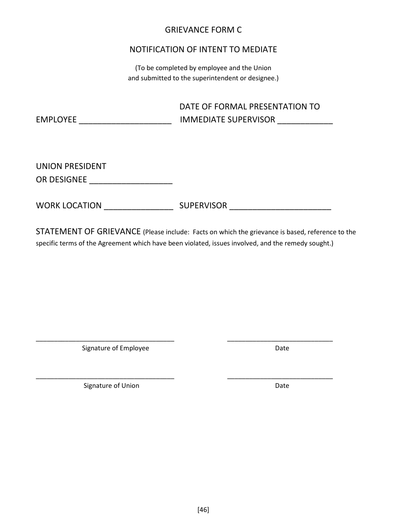### GRIEVANCE FORM C

### NOTIFICATION OF INTENT TO MEDIATE

(To be completed by employee and the Union and submitted to the superintendent or designee.)

|          | DATE OF FORMAL PRESENTATION TO |
|----------|--------------------------------|
| EMPLOYEE | <b>IMMEDIATE SUPERVISOR</b>    |

UNION PRESIDENT OR DESIGNEE **EXECUTE** 

WORK LOCATION \_\_\_\_\_\_\_\_\_\_\_\_\_\_\_ SUPERVISOR \_\_\_\_\_\_\_\_\_\_\_\_\_\_\_\_\_\_\_\_\_\_

STATEMENT OF GRIEVANCE (Please include: Facts on which the grievance is based, reference to the specific terms of the Agreement which have been violated, issues involved, and the remedy sought.)

\_\_\_\_\_\_\_\_\_\_\_\_\_\_\_\_\_\_\_\_\_\_\_\_\_\_\_\_\_\_\_\_\_\_\_\_\_\_ \_\_\_\_\_\_\_\_\_\_\_\_\_\_\_\_\_\_\_\_\_\_\_\_\_\_\_\_\_

\_\_\_\_\_\_\_\_\_\_\_\_\_\_\_\_\_\_\_\_\_\_\_\_\_\_\_\_\_\_\_\_\_\_\_\_\_\_ \_\_\_\_\_\_\_\_\_\_\_\_\_\_\_\_\_\_\_\_\_\_\_\_\_\_\_\_\_

Signature of Employee Date

Signature of Union Date **Date**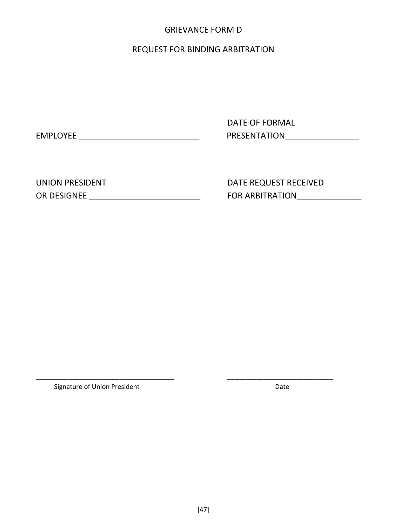### GRIEVANCE FORM D

### REQUEST FOR BINDING ARBITRATION

DATE OF FORMAL EMPLOYEE \_\_\_\_\_\_\_\_\_\_\_\_\_\_\_\_\_\_\_\_\_\_\_\_\_\_ PRESENTATION\_\_\_\_\_\_\_\_\_\_\_\_\_\_\_\_

UNION PRESIDENT DATE REQUEST RECEIVED OR DESIGNEE \_\_\_\_\_\_\_\_\_\_\_\_\_\_\_\_\_\_\_\_\_\_\_\_ FOR ARBITRATION\_\_\_\_\_\_\_\_\_\_\_\_\_\_

Signature of Union President National Science of Union President National Science of Date

\_\_\_\_\_\_\_\_\_\_\_\_\_\_\_\_\_\_\_\_\_\_\_\_\_\_\_\_\_\_\_\_\_\_\_\_\_\_ \_\_\_\_\_\_\_\_\_\_\_\_\_\_\_\_\_\_\_\_\_\_\_\_\_\_\_\_\_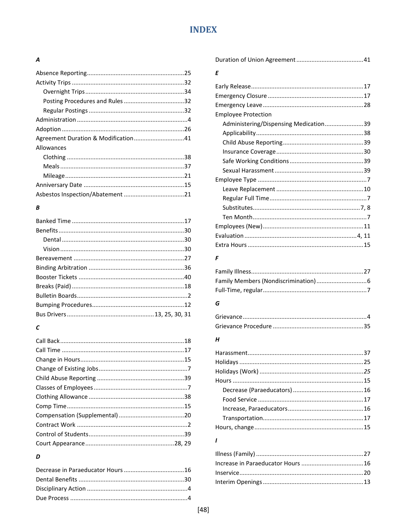## **INDEX**

### <span id="page-58-0"></span> $\overline{A}$

| Agreement Duration & Modification41 |  |
|-------------------------------------|--|
| Allowances                          |  |
|                                     |  |
|                                     |  |
|                                     |  |
|                                     |  |
|                                     |  |

### $\boldsymbol{B}$

## $\mathcal{C}_{0}$

### D

### $\pmb{\mathit{E}}$

| <b>Employee Protection</b>            |  |
|---------------------------------------|--|
| Administering/Dispensing Medication39 |  |
|                                       |  |
|                                       |  |
|                                       |  |
|                                       |  |
|                                       |  |
|                                       |  |
|                                       |  |
|                                       |  |
|                                       |  |
|                                       |  |
|                                       |  |
|                                       |  |
|                                       |  |

#### $\pmb{\digamma}$

### G

### $\boldsymbol{H}$

### $\mathbf{I}$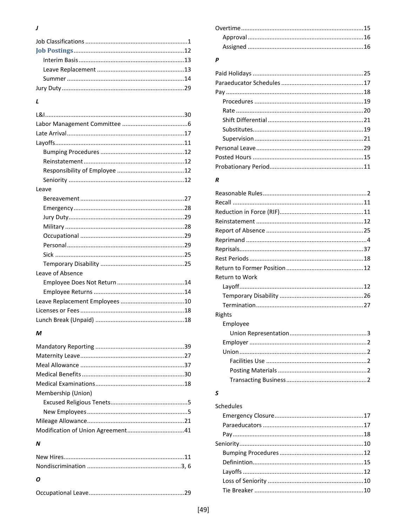### $\boldsymbol{\mathcal{J}}$

### $\mathbf{L}$

| Leave            |  |
|------------------|--|
|                  |  |
|                  |  |
|                  |  |
|                  |  |
|                  |  |
|                  |  |
|                  |  |
|                  |  |
| Leave of Absence |  |
|                  |  |
|                  |  |
|                  |  |
|                  |  |
|                  |  |
|                  |  |

### $\boldsymbol{M}$

| Membership (Union) |  |
|--------------------|--|
|                    |  |
|                    |  |
|                    |  |
|                    |  |

### $\boldsymbol{N}$

|--|--|

### $\pmb{P}$

### $\boldsymbol{R}$

| Return to Work |  |
|----------------|--|
|                |  |
|                |  |
|                |  |
| Rights         |  |
| Employee       |  |
|                |  |
|                |  |
|                |  |
|                |  |
|                |  |
|                |  |

## $\mathsf{s}$

| Schedules |  |
|-----------|--|
|           |  |
|           |  |
|           |  |
|           |  |
|           |  |
|           |  |
|           |  |
|           |  |
|           |  |
|           |  |